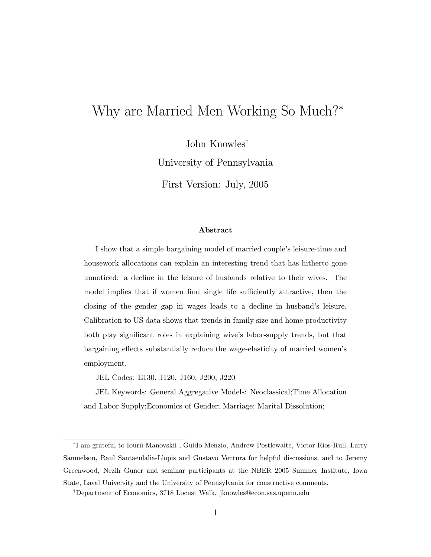# Why are Married Men Working So Much?\*

John Knowles<sup> $\dagger$ </sup>

University of Pennsylvania

First Version: July, 2005

#### Abstract

I show that a simple bargaining model of married couple's leisure-time and housework allocations can explain an interesting trend that has hitherto gone unnoticed: a decline in the leisure of husbands relative to their wives. The model implies that if women find single life sufficiently attractive, then the closing of the gender gap in wages leads to a decline in husband's leisure. Calibration to US data shows that trends in family size and home productivity both play signicant roles in explaining wive's labor-supply trends, but that bargaining effects substantially reduce the wage-elasticity of married women's employment.

JEL Codes: E130, J120, J160, J200, J220

JEL Keywords: General Aggregative Models: Neoclassical;Time Allocation and Labor Supply;Economics of Gender; Marriage; Marital Dissolution;

 I am grateful to Iourii Manovskii , Guido Menzio, Andrew Postlewaite, Victor Rios-Rull, Larry Samuelson, Raul Santaeulalia-Llopis and Gustavo Ventura for helpful discussions, and to Jeremy Greenwood, Nezih Guner and seminar participants at the NBER 2005 Summer Institute, Iowa State, Laval University and the University of Pennsylvania for constructive comments.

<sup>&</sup>lt;sup>†</sup>Department of Economics, 3718 Locust Walk. jknowles@econ.sas.upenn.edu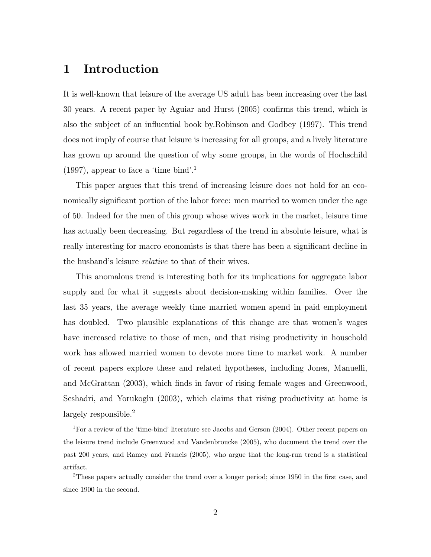### 1 Introduction

It is well-known that leisure of the average US adult has been increasing over the last 30 years. A recent paper by Aguiar and Hurst (2005) conrms this trend, which is also the subject of an in
uential book by.Robinson and Godbey (1997). This trend does not imply of course that leisure is increasing for all groups, and a lively literature has grown up around the question of why some groups, in the words of Hochschild  $(1997)$ , appear to face a 'time bind'.<sup>1</sup>

This paper argues that this trend of increasing leisure does not hold for an economically significant portion of the labor force: men married to women under the age of 50. Indeed for the men of this group whose wives work in the market, leisure time has actually been decreasing. But regardless of the trend in absolute leisure, what is really interesting for macro economists is that there has been a signicant decline in the husband's leisure *relative* to that of their wives.

This anomalous trend is interesting both for its implications for aggregate labor supply and for what it suggests about decision-making within families. Over the last 35 years, the average weekly time married women spend in paid employment has doubled. Two plausible explanations of this change are that women's wages have increased relative to those of men, and that rising productivity in household work has allowed married women to devote more time to market work. A number of recent papers explore these and related hypotheses, including Jones, Manuelli, and McGrattan  $(2003)$ , which finds in favor of rising female wages and Greenwood, Seshadri, and Yorukoglu (2003), which claims that rising productivity at home is largely responsible.<sup>2</sup>

<sup>&</sup>lt;sup>1</sup>For a review of the 'time-bind' literature see Jacobs and Gerson (2004). Other recent papers on the leisure trend include Greenwood and Vandenbroucke (2005), who document the trend over the past 200 years, and Ramey and Francis (2005), who argue that the long-run trend is a statistical artifact.

 $2$ These papers actually consider the trend over a longer period; since 1950 in the first case, and since 1900 in the second.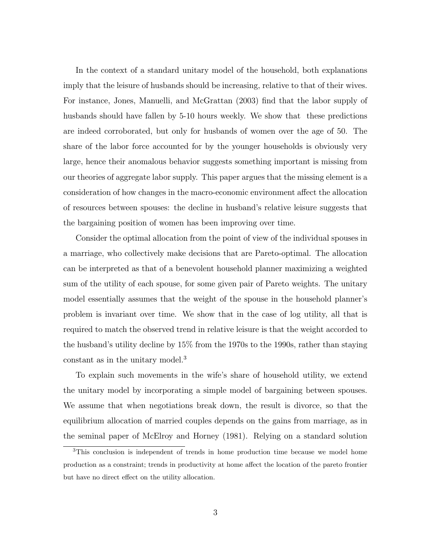In the context of a standard unitary model of the household, both explanations imply that the leisure of husbands should be increasing, relative to that of their wives. For instance, Jones, Manuelli, and McGrattan (2003) find that the labor supply of husbands should have fallen by 5-10 hours weekly. We show that these predictions are indeed corroborated, but only for husbands of women over the age of 50. The share of the labor force accounted for by the younger households is obviously very large, hence their anomalous behavior suggests something important is missing from our theories of aggregate labor supply. This paper argues that the missing element is a consideration of how changes in the macro-economic environment affect the allocation of resources between spouses: the decline in husband's relative leisure suggests that the bargaining position of women has been improving over time.

Consider the optimal allocation from the point of view of the individual spouses in a marriage, who collectively make decisions that are Pareto-optimal. The allocation can be interpreted as that of a benevolent household planner maximizing a weighted sum of the utility of each spouse, for some given pair of Pareto weights. The unitary model essentially assumes that the weight of the spouse in the household planner's problem is invariant over time. We show that in the case of log utility, all that is required to match the observed trend in relative leisure is that the weight accorded to the husband's utility decline by 15% from the 1970s to the 1990s, rather than staying constant as in the unitary model.<sup>3</sup>

To explain such movements in the wife's share of household utility, we extend the unitary model by incorporating a simple model of bargaining between spouses. We assume that when negotiations break down, the result is divorce, so that the equilibrium allocation of married couples depends on the gains from marriage, as in the seminal paper of McElroy and Horney (1981). Relying on a standard solution

<sup>3</sup>This conclusion is independent of trends in home production time because we model home production as a constraint; trends in productivity at home affect the location of the pareto frontier but have no direct effect on the utility allocation.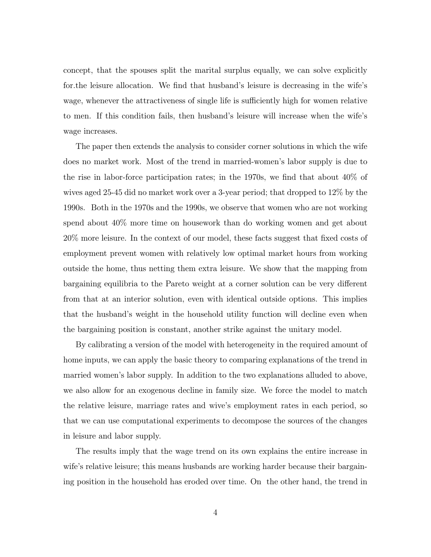concept, that the spouses split the marital surplus equally, we can solve explicitly for the leisure allocation. We find that husband's leisure is decreasing in the wife's wage, whenever the attractiveness of single life is sufficiently high for women relative to men. If this condition fails, then husband's leisure will increase when the wife's wage increases.

The paper then extends the analysis to consider corner solutions in which the wife does no market work. Most of the trend in married-women's labor supply is due to the rise in labor-force participation rates; in the 1970s, we find that about  $40\%$  of wives aged 25-45 did no market work over a 3-year period; that dropped to 12% by the 1990s. Both in the 1970s and the 1990s, we observe that women who are not working spend about 40% more time on housework than do working women and get about 20% more leisure. In the context of our model, these facts suggest that fixed costs of employment prevent women with relatively low optimal market hours from working outside the home, thus netting them extra leisure. We show that the mapping from bargaining equilibria to the Pareto weight at a corner solution can be very different from that at an interior solution, even with identical outside options. This implies that the husband's weight in the household utility function will decline even when the bargaining position is constant, another strike against the unitary model.

By calibrating a version of the model with heterogeneity in the required amount of home inputs, we can apply the basic theory to comparing explanations of the trend in married women's labor supply. In addition to the two explanations alluded to above, we also allow for an exogenous decline in family size. We force the model to match the relative leisure, marriage rates and wive's employment rates in each period, so that we can use computational experiments to decompose the sources of the changes in leisure and labor supply.

The results imply that the wage trend on its own explains the entire increase in wife's relative leisure; this means husbands are working harder because their bargaining position in the household has eroded over time. On the other hand, the trend in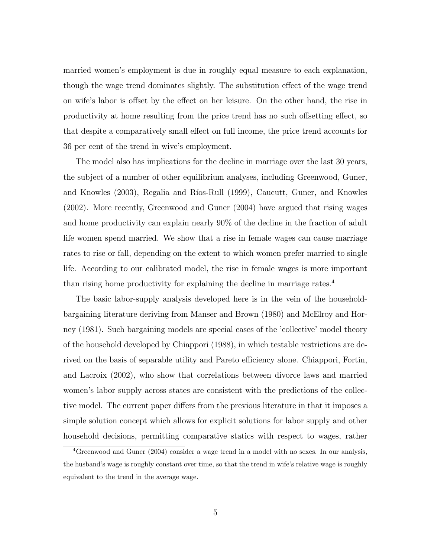married women's employment is due in roughly equal measure to each explanation, though the wage trend dominates slightly. The substitution effect of the wage trend on wife's labor is offset by the effect on her leisure. On the other hand, the rise in productivity at home resulting from the price trend has no such offsetting effect, so that despite a comparatively small effect on full income, the price trend accounts for 36 per cent of the trend in wive's employment.

The model also has implications for the decline in marriage over the last 30 years, the subject of a number of other equilibrium analyses, including Greenwood, Guner, and Knowles (2003), Regalia and Ríos-Rull (1999), Caucutt, Guner, and Knowles (2002). More recently, Greenwood and Guner (2004) have argued that rising wages and home productivity can explain nearly 90% of the decline in the fraction of adult life women spend married. We show that a rise in female wages can cause marriage rates to rise or fall, depending on the extent to which women prefer married to single life. According to our calibrated model, the rise in female wages is more important than rising home productivity for explaining the decline in marriage rates.<sup>4</sup>

The basic labor-supply analysis developed here is in the vein of the householdbargaining literature deriving from Manser and Brown (1980) and McElroy and Horney (1981). Such bargaining models are special cases of the 'collective' model theory of the household developed by Chiappori (1988), in which testable restrictions are derived on the basis of separable utility and Pareto efficiency alone. Chiappori, Fortin, and Lacroix (2002), who show that correlations between divorce laws and married women's labor supply across states are consistent with the predictions of the collective model. The current paper differs from the previous literature in that it imposes a simple solution concept which allows for explicit solutions for labor supply and other household decisions, permitting comparative statics with respect to wages, rather

<sup>4</sup>Greenwood and Guner (2004) consider a wage trend in a model with no sexes. In our analysis, the husband's wage is roughly constant over time, so that the trend in wife's relative wage is roughly equivalent to the trend in the average wage.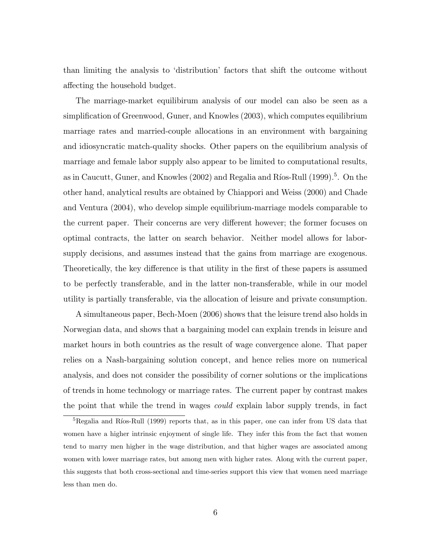than limiting the analysis to `distribution' factors that shift the outcome without affecting the household budget.

The marriage-market equilibirum analysis of our model can also be seen as a simplication of Greenwood, Guner, and Knowles (2003), which computes equilibrium marriage rates and married-couple allocations in an environment with bargaining and idiosyncratic match-quality shocks. Other papers on the equilibrium analysis of marriage and female labor supply also appear to be limited to computational results, as in Caucutt, Guner, and Knowles (2002) and Regalia and Ríos-Rull (1999).<sup>5</sup>. On the other hand, analytical results are obtained by Chiappori and Weiss (2000) and Chade and Ventura (2004), who develop simple equilibrium-marriage models comparable to the current paper. Their concerns are very different however; the former focuses on optimal contracts, the latter on search behavior. Neither model allows for laborsupply decisions, and assumes instead that the gains from marriage are exogenous. Theoretically, the key difference is that utility in the first of these papers is assumed to be perfectly transferable, and in the latter non-transferable, while in our model utility is partially transferable, via the allocation of leisure and private consumption.

A simultaneous paper, Bech-Moen (2006) shows that the leisure trend also holds in Norwegian data, and shows that a bargaining model can explain trends in leisure and market hours in both countries as the result of wage convergence alone. That paper relies on a Nash-bargaining solution concept, and hence relies more on numerical analysis, and does not consider the possibility of corner solutions or the implications of trends in home technology or marriage rates. The current paper by contrast makes the point that while the trend in wages could explain labor supply trends, in fact

 $5$ Regalia and Ríos-Rull (1999) reports that, as in this paper, one can infer from US data that women have a higher intrinsic enjoyment of single life. They infer this from the fact that women tend to marry men higher in the wage distribution, and that higher wages are associated among women with lower marriage rates, but among men with higher rates. Along with the current paper, this suggests that both cross-sectional and time-series support this view that women need marriage less than men do.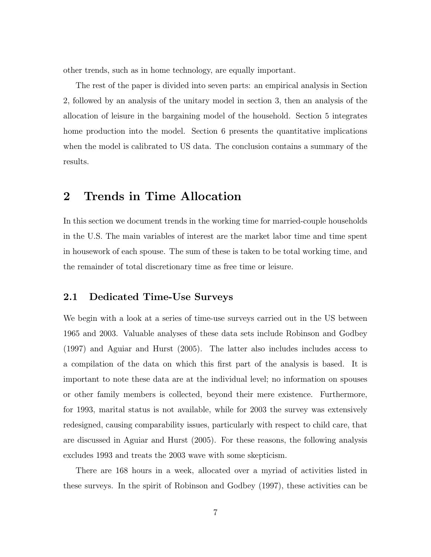other trends, such as in home technology, are equally important.

The rest of the paper is divided into seven parts: an empirical analysis in Section 2, followed by an analysis of the unitary model in section 3, then an analysis of the allocation of leisure in the bargaining model of the household. Section 5 integrates home production into the model. Section 6 presents the quantitative implications when the model is calibrated to US data. The conclusion contains a summary of the results.

## 2 Trends in Time Allocation

In this section we document trends in the working time for married-couple households in the U.S. The main variables of interest are the market labor time and time spent in housework of each spouse. The sum of these is taken to be total working time, and the remainder of total discretionary time as free time or leisure.

#### 2.1 Dedicated Time-Use Surveys

We begin with a look at a series of time-use surveys carried out in the US between 1965 and 2003. Valuable analyses of these data sets include Robinson and Godbey (1997) and Aguiar and Hurst (2005). The latter also includes includes access to a compilation of the data on which this first part of the analysis is based. It is important to note these data are at the individual level; no information on spouses or other family members is collected, beyond their mere existence. Furthermore, for 1993, marital status is not available, while for 2003 the survey was extensively redesigned, causing comparability issues, particularly with respect to child care, that are discussed in Aguiar and Hurst (2005). For these reasons, the following analysis excludes 1993 and treats the 2003 wave with some skepticism.

There are 168 hours in a week, allocated over a myriad of activities listed in these surveys. In the spirit of Robinson and Godbey (1997), these activities can be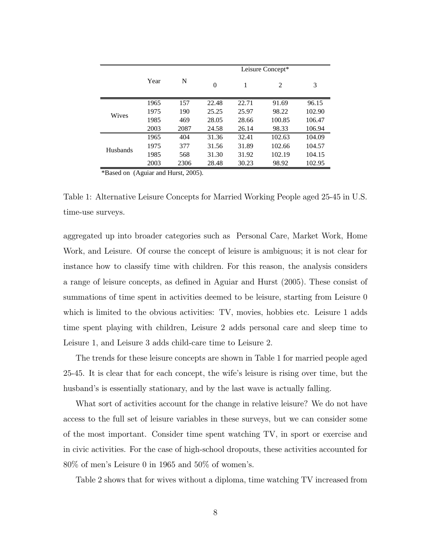|          |      |      | Leisure Concept* |       |        |        |  |  |  |
|----------|------|------|------------------|-------|--------|--------|--|--|--|
|          | Year | N    | $\theta$         | 1     | 2      | 3      |  |  |  |
|          | 1965 | 157  | 22.48            | 22.71 | 91.69  | 96.15  |  |  |  |
| Wives    | 1975 | 190  | 25.25            | 25.97 | 98.22  | 102.90 |  |  |  |
|          | 1985 | 469  | 28.05            | 28.66 | 100.85 | 106.47 |  |  |  |
|          | 2003 | 2087 | 24.58            | 26.14 | 98.33  | 106.94 |  |  |  |
|          | 1965 | 404  | 31.36            | 32.41 | 102.63 | 104.09 |  |  |  |
| Husbands | 1975 | 377  | 31.56            | 31.89 | 102.66 | 104.57 |  |  |  |
|          | 1985 | 568  | 31.30            | 31.92 | 102.19 | 104.15 |  |  |  |
|          | 2003 | 2306 | 28.48            | 30.23 | 98.92  | 102.95 |  |  |  |

\*Based on (Aguiar and Hurst, 2005).

Table 1: Alternative Leisure Concepts for Married Working People aged 25-45 in U.S. time-use surveys.

aggregated up into broader categories such as Personal Care, Market Work, Home Work, and Leisure. Of course the concept of leisure is ambiguous; it is not clear for instance how to classify time with children. For this reason, the analysis considers a range of leisure concepts, as defined in Aguiar and Hurst (2005). These consist of summations of time spent in activities deemed to be leisure, starting from Leisure 0 which is limited to the obvious activities: TV, movies, hobbies etc. Leisure 1 adds time spent playing with children, Leisure 2 adds personal care and sleep time to Leisure 1, and Leisure 3 adds child-care time to Leisure 2.

The trends for these leisure concepts are shown in Table 1 for married people aged 25-45. It is clear that for each concept, the wife's leisure is rising over time, but the husband's is essentially stationary, and by the last wave is actually falling.

What sort of activities account for the change in relative leisure? We do not have access to the full set of leisure variables in these surveys, but we can consider some of the most important. Consider time spent watching TV, in sport or exercise and in civic activities. For the case of high-school dropouts, these activities accounted for 80% of men's Leisure 0 in 1965 and 50% of women's.

Table 2 shows that for wives without a diploma, time watching TV increased from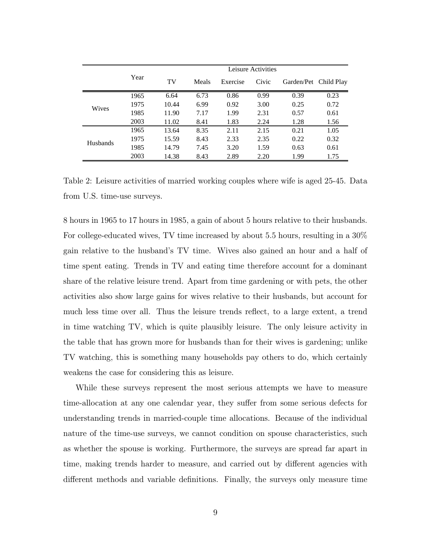|                 |      | Leisure Activities |       |          |       |                       |      |  |
|-----------------|------|--------------------|-------|----------|-------|-----------------------|------|--|
|                 | Year | TV                 | Meals | Exercise | Civic | Garden/Pet Child Play |      |  |
|                 | 1965 | 6.64               | 6.73  | 0.86     | 0.99  | 0.39                  | 0.23 |  |
| <b>Wives</b>    | 1975 | 10.44              | 6.99  | 0.92     | 3.00  | 0.25                  | 0.72 |  |
|                 | 1985 | 11.90              | 7.17  | 1.99     | 2.31  | 0.57                  | 0.61 |  |
|                 | 2003 | 11.02              | 8.41  | 1.83     | 2.24  | 1.28                  | 1.56 |  |
|                 | 1965 | 13.64              | 8.35  | 2.11     | 2.15  | 0.21                  | 1.05 |  |
| <b>Husbands</b> | 1975 | 15.59              | 8.43  | 2.33     | 2.35  | 0.22                  | 0.32 |  |
|                 | 1985 | 14.79              | 7.45  | 3.20     | 1.59  | 0.63                  | 0.61 |  |
|                 | 2003 | 14.38              | 8.43  | 2.89     | 2.20  | 1.99                  | 1.75 |  |

Table 2: Leisure activities of married working couples where wife is aged 25-45. Data from U.S. time-use surveys.

8 hours in 1965 to 17 hours in 1985, a gain of about 5 hours relative to their husbands. For college-educated wives, TV time increased by about 5.5 hours, resulting in a 30% gain relative to the husband's TV time. Wives also gained an hour and a half of time spent eating. Trends in TV and eating time therefore account for a dominant share of the relative leisure trend. Apart from time gardening or with pets, the other activities also show large gains for wives relative to their husbands, but account for much less time over all. Thus the leisure trends reflect, to a large extent, a trend in time watching TV, which is quite plausibly leisure. The only leisure activity in the table that has grown more for husbands than for their wives is gardening; unlike TV watching, this is something many households pay others to do, which certainly weakens the case for considering this as leisure.

While these surveys represent the most serious attempts we have to measure time-allocation at any one calendar year, they suffer from some serious defects for understanding trends in married-couple time allocations. Because of the individual nature of the time-use surveys, we cannot condition on spouse characteristics, such as whether the spouse is working. Furthermore, the surveys are spread far apart in time, making trends harder to measure, and carried out by different agencies with different methods and variable definitions. Finally, the surveys only measure time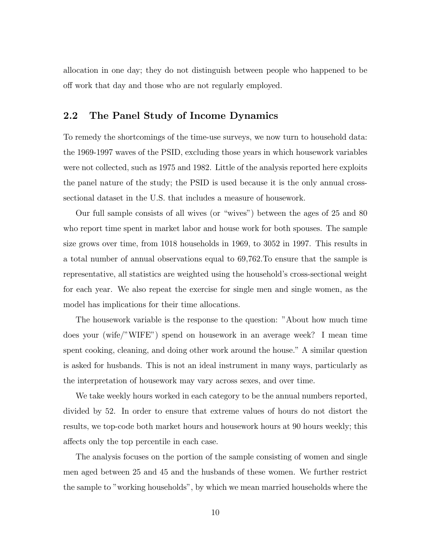allocation in one day; they do not distinguish between people who happened to be off work that day and those who are not regularly employed.

### 2.2 The Panel Study of Income Dynamics

To remedy the shortcomings of the time-use surveys, we now turn to household data: the 1969-1997 waves of the PSID, excluding those years in which housework variables were not collected, such as 1975 and 1982. Little of the analysis reported here exploits the panel nature of the study; the PSID is used because it is the only annual crosssectional dataset in the U.S. that includes a measure of housework.

Our full sample consists of all wives (or \wives") between the ages of 25 and 80 who report time spent in market labor and house work for both spouses. The sample size grows over time, from 1018 households in 1969, to 3052 in 1997. This results in a total number of annual observations equal to 69,762.To ensure that the sample is representative, all statistics are weighted using the household's cross-sectional weight for each year. We also repeat the exercise for single men and single women, as the model has implications for their time allocations.

The housework variable is the response to the question: "About how much time does your (wife/"WIFE") spend on housework in an average week? I mean time spent cooking, cleaning, and doing other work around the house." A similar question is asked for husbands. This is not an ideal instrument in many ways, particularly as the interpretation of housework may vary across sexes, and over time.

We take weekly hours worked in each category to be the annual numbers reported, divided by 52. In order to ensure that extreme values of hours do not distort the results, we top-code both market hours and housework hours at 90 hours weekly; this affects only the top percentile in each case.

The analysis focuses on the portion of the sample consisting of women and single men aged between 25 and 45 and the husbands of these women. We further restrict the sample to "working households", by which we mean married households where the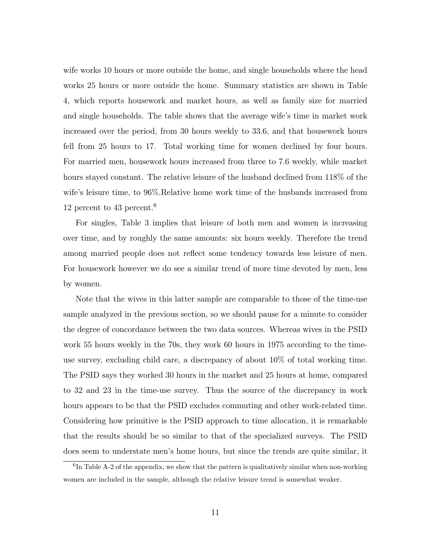wife works 10 hours or more outside the home, and single households where the head works 25 hours or more outside the home. Summary statistics are shown in Table 4, which reports housework and market hours, as well as family size for married and single households. The table shows that the average wife's time in market work increased over the period, from 30 hours weekly to 33.6, and that housework hours fell from 25 hours to 17. Total working time for women declined by four hours. For married men, housework hours increased from three to 7.6 weekly, while market hours stayed constant. The relative leisure of the husband declined from 118% of the wife's leisure time, to 96%.Relative home work time of the husbands increased from 12 percent to 43 percent.<sup>6</sup>

For singles, Table 3 implies that leisure of both men and women is increasing over time, and by roughly the same amounts: six hours weekly. Therefore the trend among married people does not reflect some tendency towards less leisure of men. For housework however we do see a similar trend of more time devoted by men, less by women.

Note that the wives in this latter sample are comparable to those of the time-use sample analyzed in the previous section, so we should pause for a minute to consider the degree of concordance between the two data sources. Whereas wives in the PSID work 55 hours weekly in the 70s, they work 60 hours in 1975 according to the timeuse survey, excluding child care, a discrepancy of about 10% of total working time. The PSID says they worked 30 hours in the market and 25 hours at home, compared to 32 and 23 in the time-use survey. Thus the source of the discrepancy in work hours appears to be that the PSID excludes commuting and other work-related time. Considering how primitive is the PSID approach to time allocation, it is remarkable that the results should be so similar to that of the specialized surveys. The PSID does seem to understate men's home hours, but since the trends are quite similar, it

 ${}^{6}$ In Table A-2 of the appendix, we show that the pattern is qualitatively similar when non-working women are included in the sample, although the relative leisure trend is somewhat weaker.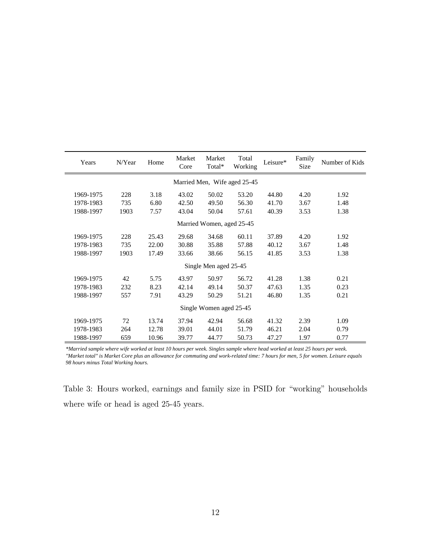| Years                     | N/Year | Home  | Market<br>Core | Market<br>Total*      | Total<br>Working             | Leisure* | Family<br><b>Size</b> | Number of Kids |
|---------------------------|--------|-------|----------------|-----------------------|------------------------------|----------|-----------------------|----------------|
|                           |        |       |                |                       | Married Men, Wife aged 25-45 |          |                       |                |
| 1969-1975                 | 228    | 3.18  | 43.02          | 50.02                 | 53.20                        | 44.80    | 4.20                  | 1.92           |
| 1978-1983                 | 735    | 6.80  | 42.50          | 49.50                 | 56.30                        | 41.70    | 3.67                  | 1.48           |
| 1988-1997                 | 1903   | 7.57  | 43.04          | 50.04                 | 57.61                        | 40.39    | 3.53                  | 1.38           |
| Married Women, aged 25-45 |        |       |                |                       |                              |          |                       |                |
| 1969-1975                 | 228    | 25.43 | 29.68          | 34.68                 | 60.11                        | 37.89    | 4.20                  | 1.92           |
| 1978-1983                 | 735    | 22.00 | 30.88          | 35.88                 | 57.88                        | 40.12    | 3.67                  | 1.48           |
| 1988-1997                 | 1903   | 17.49 | 33.66          | 38.66                 | 56.15                        | 41.85    | 3.53                  | 1.38           |
|                           |        |       |                | Single Men aged 25-45 |                              |          |                       |                |
| 1969-1975                 | 42     | 5.75  | 43.97          | 50.97                 | 56.72                        | 41.28    | 1.38                  | 0.21           |
| 1978-1983                 | 232    | 8.23  | 42.14          | 49.14                 | 50.37                        | 47.63    | 1.35                  | 0.23           |
| 1988-1997                 | 557    | 7.91  | 43.29          | 50.29                 | 51.21                        | 46.80    | 1.35                  | 0.21           |
| Single Women aged 25-45   |        |       |                |                       |                              |          |                       |                |
| 1969-1975                 | 72     | 13.74 | 37.94          | 42.94                 | 56.68                        | 41.32    | 2.39                  | 1.09           |
| 1978-1983                 | 264    | 12.78 | 39.01          | 44.01                 | 51.79                        | 46.21    | 2.04                  | 0.79           |
| 1988-1997                 | 659    | 10.96 | 39.77          | 44.77                 | 50.73                        | 47.27    | 1.97                  | 0.77           |

 $\overline{a}$ 

*\*Married sample where wife worked at least 10 hours per week. Singles sample where head worked at least 25 hours per week. "Market total" is Market Core plus an allowance for commuting and work-related time: 7 hours for men, 5 for women. Leisure equals 98 hours minus Total Working hours.*

Table 3: Hours worked, earnings and family size in PSID for \working" households where wife or head is aged 25-45 years.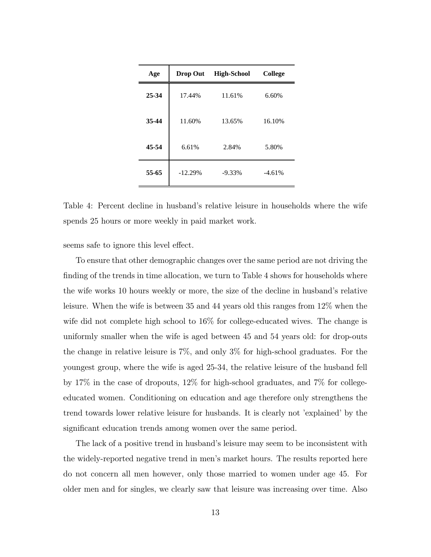| Age   | Drop Out  | <b>High-School</b> | <b>College</b> |
|-------|-----------|--------------------|----------------|
| 25-34 | 17.44%    | 11.61%             | 6.60%          |
| 35-44 | 11.60%    | 13.65%             | 16.10%         |
| 45-54 | 6.61%     | 2.84%              | 5.80%          |
| 55-65 | $-12.29%$ | $-9.33\%$          | $-4.61%$       |

Table 4: Percent decline in husband's relative leisure in households where the wife spends 25 hours or more weekly in paid market work.

seems safe to ignore this level effect.

To ensure that other demographic changes over the same period are not driving the finding of the trends in time allocation, we turn to Table 4 shows for households where the wife works 10 hours weekly or more, the size of the decline in husband's relative leisure. When the wife is between 35 and 44 years old this ranges from 12% when the wife did not complete high school to 16% for college-educated wives. The change is uniformly smaller when the wife is aged between 45 and 54 years old: for drop-outs the change in relative leisure is 7%, and only 3% for high-school graduates. For the youngest group, where the wife is aged 25-34, the relative leisure of the husband fell by 17% in the case of dropouts, 12% for high-school graduates, and 7% for collegeeducated women. Conditioning on education and age therefore only strengthens the trend towards lower relative leisure for husbands. It is clearly not 'explained' by the significant education trends among women over the same period.

The lack of a positive trend in husband's leisure may seem to be inconsistent with the widely-reported negative trend in men's market hours. The results reported here do not concern all men however, only those married to women under age 45. For older men and for singles, we clearly saw that leisure was increasing over time. Also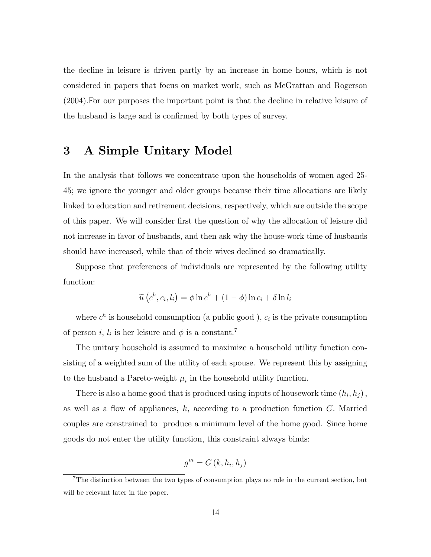the decline in leisure is driven partly by an increase in home hours, which is not considered in papers that focus on market work, such as McGrattan and Rogerson (2004).For our purposes the important point is that the decline in relative leisure of the husband is large and is confirmed by both types of survey.

### 3 A Simple Unitary Model

In the analysis that follows we concentrate upon the households of women aged 25- 45; we ignore the younger and older groups because their time allocations are likely linked to education and retirement decisions, respectively, which are outside the scope of this paper. We will consider first the question of why the allocation of leisure did not increase in favor of husbands, and then ask why the house-work time of husbands should have increased, while that of their wives declined so dramatically.

Suppose that preferences of individuals are represented by the following utility function:

$$
\widetilde{u}\left(c^h, c_i, l_i\right) = \phi \ln c^h + (1 - \phi) \ln c_i + \delta \ln l_i
$$

where  $c^h$  is household consumption (a public good),  $c_i$  is the private consumption of person *i*,  $l_i$  is her leisure and  $\phi$  is a constant.<sup>7</sup>

The unitary household is assumed to maximize a household utility function consisting of a weighted sum of the utility of each spouse. We represent this by assigning to the husband a Pareto-weight  $\mu_i$  in the household utility function.

There is also a home good that is produced using inputs of housework time  $(h_i, h_j)$ , as well as a flow of appliances,  $k$ , according to a production function  $G$ . Married couples are constrained to produce a minimum level of the home good. Since home goods do not enter the utility function, this constraint always binds:

$$
\underline{g}^{m}=G(k,h_i,h_j)
$$

<sup>&</sup>lt;sup>7</sup>The distinction between the two types of consumption plays no role in the current section, but will be relevant later in the paper.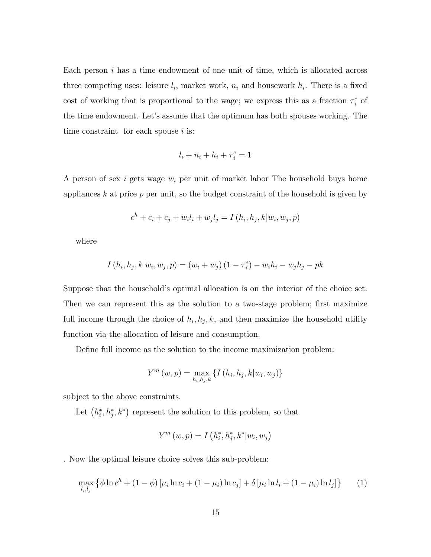Each person  $i$  has a time endowment of one unit of time, which is allocated across three competing uses: leisure  $l_i$ , market work,  $n_i$  and housework  $h_i$ . There is a fixed cost of working that is proportional to the wage; we express this as a fraction  $\tau_i^e$  of the time endowment. Let's assume that the optimum has both spouses working. The time constraint for each spouse  $i$  is:

$$
l_i+n_i+h_i+\tau_i^e=1
$$

A person of sex i gets wage  $w_i$  per unit of market labor The household buys home appliances  $k$  at price  $p$  per unit, so the budget constraint of the household is given by

$$
c^{h} + c_{i} + c_{j} + w_{i}l_{i} + w_{j}l_{j} = I(h_{i}, h_{j}, k|w_{i}, w_{j}, p)
$$

where

$$
I(h_i, h_j, k | w_i, w_j, p) = (w_i + w_j) (1 - \tau_i^e) - w_i h_i - w_j h_j - p k
$$

Suppose that the household's optimal allocation is on the interior of the choice set. Then we can represent this as the solution to a two-stage problem; first maximize full income through the choice of  $h_i, h_j, k$ , and then maximize the household utility function via the allocation of leisure and consumption.

Define full income as the solution to the income maximization problem:

$$
Y^{m}(w, p) = \max_{h_{i}, h_{j}, k} \{ I(h_{i}, h_{j}, k|w_{i}, w_{j}) \}
$$

subject to the above constraints.

Let  $(h_i^*, h_j^*, k^*)$  represent the solution to this problem, so that

$$
Y^{m}(w, p) = I\left(h_{i}^{*}, h_{j}^{*}, k^{*} | w_{i}, w_{j}\right)
$$

. Now the optimal leisure choice solves this sub-problem:

$$
\max_{l_i, l_j} \left\{ \phi \ln c^h + (1 - \phi) \left[ \mu_i \ln c_i + (1 - \mu_i) \ln c_j \right] + \delta \left[ \mu_i \ln l_i + (1 - \mu_i) \ln l_j \right] \right\} \tag{1}
$$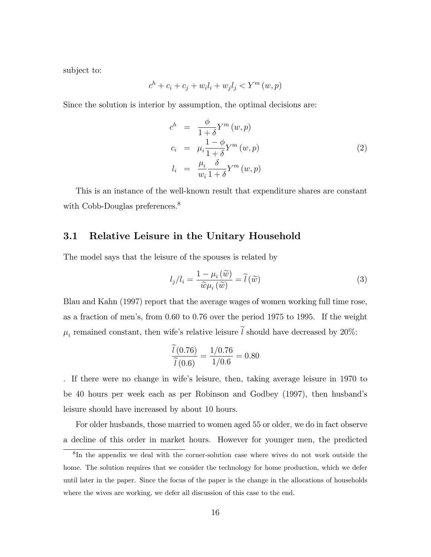subject to:

$$
c^h + c_i + c_j + w_i l_i + w_j l_j < Y^m(w, p)
$$

Since the solution is interior by assumption, the optimal decisions are:

$$
c^{h} = \frac{\phi}{1+\delta} Y^{m}(w, p)
$$
  
\n
$$
c_{i} = \mu_{i} \frac{1-\phi}{1+\delta} Y^{m}(w, p)
$$
  
\n
$$
l_{i} = \frac{\mu_{i}}{w_{i}} \frac{\delta}{1+\delta} Y^{m}(w, p)
$$
\n(2)

This is an instance of the well-known result that expenditure shares are constant with Cobb-Douglas preferences.<sup>8</sup>

#### 3.1 Relative Leisure in the Unitary Household

The model says that the leisure of the spouses is related by

$$
l_j/l_i = \frac{1 - \mu_i(\widetilde{w})}{\widetilde{w}\mu_i(\widetilde{w})} = \widetilde{l}(\widetilde{w})
$$
\n(3)

Blau and Kahn (1997) report that the average wages of women working full time rose, as a fraction of men's, from 0.60 to 0.76 over the period 1975 to 1995. If the weight  $\mu_i$  remained constant, then wife's relative leisure l should have decreased by 20%:

$$
\frac{l(0.76)}{\tilde{l}(0.6)} = \frac{1/0.76}{1/0.6} = 0.80
$$

. If there were no change in wife's leisure, then, taking average leisure in 1970 to be 40 hours per week each as per Robinson and Godbey (1997), then husband's leisure should have increased by about 10 hours.

For older husbands, those married to women aged 55 or older, we do in fact observe a decline of this order in market hours. However for younger men, the predicted

<sup>&</sup>lt;sup>8</sup>In the appendix we deal with the corner-solution case where wives do not work outside the home. The solution requires that we consider the technology for home production, which we defer until later in the paper. Since the focus of the paper is the change in the allocations of households where the wives are working, we defer all discussion of this case to the end.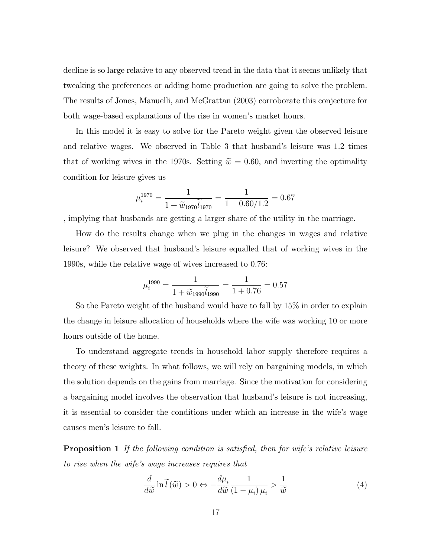decline is so large relative to any observed trend in the data that it seems unlikely that tweaking the preferences or adding home production are going to solve the problem. The results of Jones, Manuelli, and McGrattan (2003) corroborate this conjecture for both wage-based explanations of the rise in women's market hours.

In this model it is easy to solve for the Pareto weight given the observed leisure and relative wages. We observed in Table 3 that husband's leisure was 1.2 times that of working wives in the 1970s. Setting  $\tilde{w} = 0.60$ , and inverting the optimality condition for leisure gives us

$$
\mu_i^{1970} = \frac{1}{1 + \widetilde{w}_{1970} \widetilde{l}_{1970}} = \frac{1}{1 + 0.60 / 1.2} = 0.67
$$

, implying that husbands are getting a larger share of the utility in the marriage.

How do the results change when we plug in the changes in wages and relative leisure? We observed that husband's leisure equalled that of working wives in the 1990s, while the relative wage of wives increased to 0.76:

$$
\mu_i^{1990} = \frac{1}{1 + \widetilde{w}_{1990} \widetilde{l}_{1990}} = \frac{1}{1 + 0.76} = 0.57
$$

So the Pareto weight of the husband would have to fall by 15% in order to explain the change in leisure allocation of households where the wife was working 10 or more hours outside of the home.

To understand aggregate trends in household labor supply therefore requires a theory of these weights. In what follows, we will rely on bargaining models, in which the solution depends on the gains from marriage. Since the motivation for considering a bargaining model involves the observation that husband's leisure is not increasing, it is essential to consider the conditions under which an increase in the wife's wage causes men's leisure to fall.

**Proposition 1** If the following condition is satisfied, then for wife's relative leisure to rise when the wife's wage increases requires that

$$
\frac{d}{d\widetilde{w}}\ln\widetilde{l}(\widetilde{w}) > 0 \Leftrightarrow -\frac{d\mu_i}{d\widetilde{w}}\frac{1}{(1-\mu_i)\mu_i} > \frac{1}{\widetilde{w}}\tag{4}
$$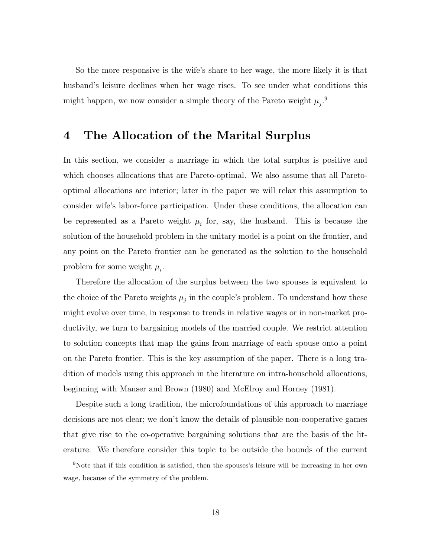So the more responsive is the wife's share to her wage, the more likely it is that husband's leisure declines when her wage rises. To see under what conditions this might happen, we now consider a simple theory of the Pareto weight  $\mu_j$ .<sup>9</sup>

### 4 The Allocation of the Marital Surplus

In this section, we consider a marriage in which the total surplus is positive and which chooses allocations that are Pareto-optimal. We also assume that all Paretooptimal allocations are interior; later in the paper we will relax this assumption to consider wife's labor-force participation. Under these conditions, the allocation can be represented as a Pareto weight  $\mu_i$  for, say, the husband. This is because the solution of the household problem in the unitary model is a point on the frontier, and any point on the Pareto frontier can be generated as the solution to the household problem for some weight  $\mu_i$ .

Therefore the allocation of the surplus between the two spouses is equivalent to the choice of the Pareto weights  $\mu_j$  in the couple's problem. To understand how these might evolve over time, in response to trends in relative wages or in non-market productivity, we turn to bargaining models of the married couple. We restrict attention to solution concepts that map the gains from marriage of each spouse onto a point on the Pareto frontier. This is the key assumption of the paper. There is a long tradition of models using this approach in the literature on intra-household allocations, beginning with Manser and Brown (1980) and McElroy and Horney (1981).

Despite such a long tradition, the microfoundations of this approach to marriage decisions are not clear; we don't know the details of plausible non-cooperative games that give rise to the co-operative bargaining solutions that are the basis of the literature. We therefore consider this topic to be outside the bounds of the current

<sup>9</sup>Note that if this condition is satised, then the spouses's leisure will be increasing in her own wage, because of the symmetry of the problem.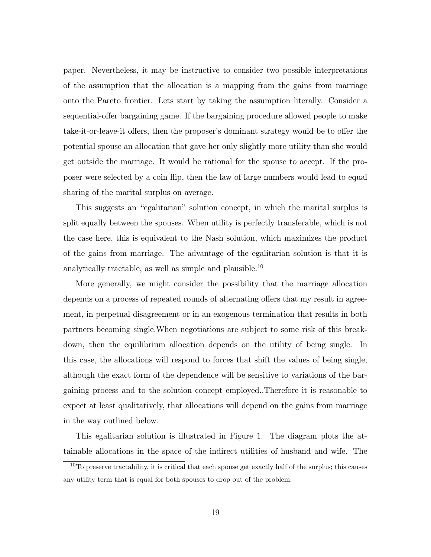paper. Nevertheless, it may be instructive to consider two possible interpretations of the assumption that the allocation is a mapping from the gains from marriage onto the Pareto frontier. Lets start by taking the assumption literally. Consider a sequential-offer bargaining game. If the bargaining procedure allowed people to make take-it-or-leave-it offers, then the proposer's dominant strategy would be to offer the potential spouse an allocation that gave her only slightly more utility than she would get outside the marriage. It would be rational for the spouse to accept. If the proposer were selected by a coin flip, then the law of large numbers would lead to equal sharing of the marital surplus on average.

This suggests an "egalitarian" solution concept, in which the marital surplus is split equally between the spouses. When utility is perfectly transferable, which is not the case here, this is equivalent to the Nash solution, which maximizes the product of the gains from marriage. The advantage of the egalitarian solution is that it is analytically tractable, as well as simple and plausible.<sup>10</sup>

More generally, we might consider the possibility that the marriage allocation depends on a process of repeated rounds of alternating offers that my result in agreement, in perpetual disagreement or in an exogenous termination that results in both partners becoming single.When negotiations are subject to some risk of this breakdown, then the equilibrium allocation depends on the utility of being single. In this case, the allocations will respond to forces that shift the values of being single, although the exact form of the dependence will be sensitive to variations of the bargaining process and to the solution concept employed..Therefore it is reasonable to expect at least qualitatively, that allocations will depend on the gains from marriage in the way outlined below.

This egalitarian solution is illustrated in Figure 1. The diagram plots the attainable allocations in the space of the indirect utilities of husband and wife. The

 $10$ To preserve tractability, it is critical that each spouse get exactly half of the surplus; this causes any utility term that is equal for both spouses to drop out of the problem.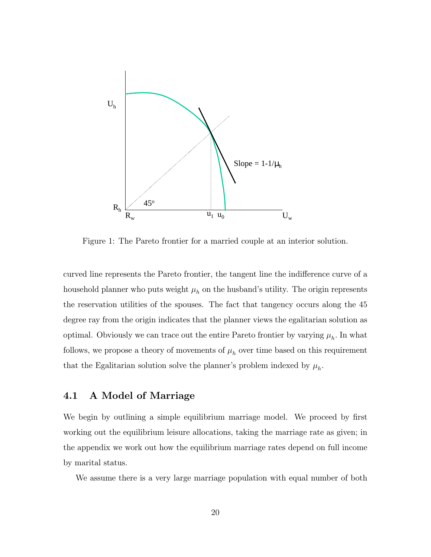

Figure 1: The Pareto frontier for a married couple at an interior solution.

curved line represents the Pareto frontier, the tangent line the indifference curve of a household planner who puts weight  $\mu_h$  on the husband's utility. The origin represents the reservation utilities of the spouses. The fact that tangency occurs along the 45 degree ray from the origin indicates that the planner views the egalitarian solution as optimal. Obviously we can trace out the entire Pareto frontier by varying  $\mu_h$ . In what follows, we propose a theory of movements of  $\mu_h$  over time based on this requirement that the Egalitarian solution solve the planner's problem indexed by  $\mu_h$ .

### 4.1 A Model of Marriage

We begin by outlining a simple equilibrium marriage model. We proceed by first working out the equilibrium leisure allocations, taking the marriage rate as given; in the appendix we work out how the equilibrium marriage rates depend on full income by marital status.

We assume there is a very large marriage population with equal number of both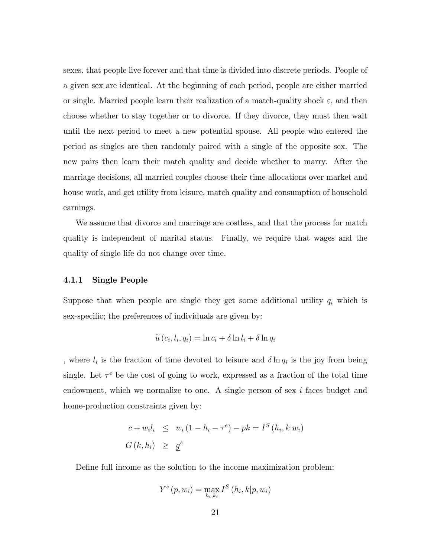sexes, that people live forever and that time is divided into discrete periods. People of a given sex are identical. At the beginning of each period, people are either married or single. Married people learn their realization of a match-quality shock  $\varepsilon$ , and then choose whether to stay together or to divorce. If they divorce, they must then wait until the next period to meet a new potential spouse. All people who entered the period as singles are then randomly paired with a single of the opposite sex. The new pairs then learn their match quality and decide whether to marry. After the marriage decisions, all married couples choose their time allocations over market and house work, and get utility from leisure, match quality and consumption of household earnings.

We assume that divorce and marriage are costless, and that the process for match quality is independent of marital status. Finally, we require that wages and the quality of single life do not change over time.

#### 4.1.1 Single People

Suppose that when people are single they get some additional utility  $q_i$  which is sex-specic; the preferences of individuals are given by:

$$
\widetilde{u}(c_i, l_i, q_i) = \ln c_i + \delta \ln l_i + \delta \ln q_i
$$

, where  $l_i$  is the fraction of time devoted to leisure and  $\delta \ln q_i$  is the joy from being single. Let  $\tau^e$  be the cost of going to work, expressed as a fraction of the total time endowment, which we normalize to one. A single person of sex  $i$  faces budget and home-production constraints given by:

$$
c + w_i l_i \leq w_i (1 - h_i - \tau^e) - p k = I^S (h_i, k | w_i)
$$
  

$$
G(k, h_i) \geq \underline{g}^s
$$

Define full income as the solution to the income maximization problem:

$$
Y^{s}\left(p,w_{i}\right)=\max_{h_{i},k_{i}}I^{S}\left(h_{i},k|p,w_{i}\right)
$$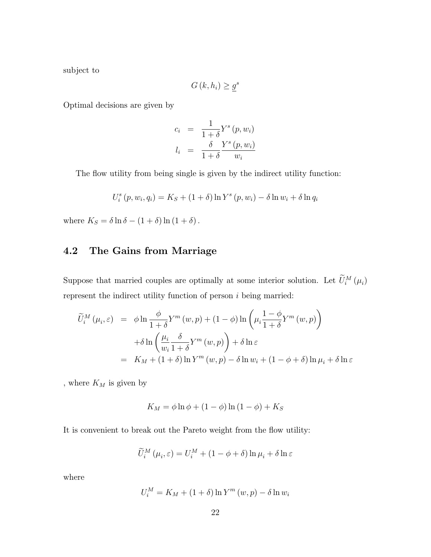subject to

$$
G(k, h_i) \geq \underline{g}^s
$$

Optimal decisions are given by

$$
c_i = \frac{1}{1+\delta} Y^s (p, w_i)
$$
  

$$
l_i = \frac{\delta}{1+\delta} \frac{Y^s (p, w_i)}{w_i}
$$

The flow utility from being single is given by the indirect utility function:

$$
U_i^s(p, w_i, q_i) = K_S + (1 + \delta) \ln Y^s(p, w_i) - \delta \ln w_i + \delta \ln q_i
$$

where  $K_S = \delta \ln \delta - (1 + \delta) \ln (1 + \delta)$ .

### 4.2 The Gains from Marriage

Suppose that married couples are optimally at some interior solution. Let  $\tilde{U}_i^M(\mu_i)$ represent the indirect utility function of person  $i$  being married:

$$
\widetilde{U}_{i}^{M}(\mu_{i}, \varepsilon) = \phi \ln \frac{\phi}{1+\delta} Y^{m}(w, p) + (1 - \phi) \ln \left(\mu_{i} \frac{1-\phi}{1+\delta} Y^{m}(w, p)\right)
$$

$$
+ \delta \ln \left(\frac{\mu_{i}}{w_{i}} \frac{\delta}{1+\delta} Y^{m}(w, p)\right) + \delta \ln \varepsilon
$$

$$
= K_{M} + (1 + \delta) \ln Y^{m}(w, p) - \delta \ln w_{i} + (1 - \phi + \delta) \ln \mu_{i} + \delta \ln \varepsilon
$$

, where  $\mathcal{K}_M$  is given by

$$
K_M = \phi \ln \phi + (1 - \phi) \ln (1 - \phi) + K_S
$$

It is convenient to break out the Pareto weight from the flow utility:

$$
\widetilde{U}_{i}^{M}\left(\mu_{i}, \varepsilon\right) = U_{i}^{M} + \left(1 - \phi + \delta\right) \ln \mu_{i} + \delta \ln \varepsilon
$$

where

$$
U_i^M = K_M + (1 + \delta) \ln Y^m(w, p) - \delta \ln w_i
$$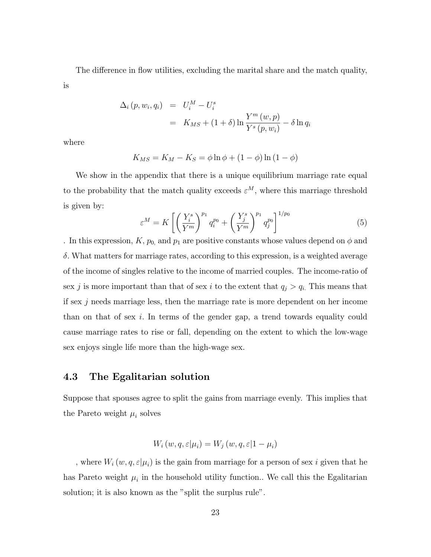The difference in flow utilities, excluding the marital share and the match quality, is

$$
\Delta_i(p, w_i, q_i) = U_i^M - U_i^s
$$
  
=  $K_{MS} + (1 + \delta) \ln \frac{Y^m(w, p)}{Y^s(p, w_i)} - \delta \ln q_i$ 

where

$$
K_{MS} = K_M - K_S = \phi \ln \phi + (1 - \phi) \ln (1 - \phi)
$$

We show in the appendix that there is a unique equilibrium marriage rate equal to the probability that the match quality exceeds  $\varepsilon^M$ , where this marriage threshold is given by:

$$
\varepsilon^M = K \left[ \left( \frac{Y_i^s}{Y^m} \right)^{p_1} q_i^{p_0} + \left( \frac{Y_j^s}{Y^m} \right)^{p_1} q_j^{p_0} \right]^{1/p_0} \tag{5}
$$

. In this expression,  $K$ ,  $p_0$ , and  $p_1$  are positive constants whose values depend on  $\phi$  and  $\delta$ . What matters for marriage rates, according to this expression, is a weighted average of the income of singles relative to the income of married couples. The income-ratio of sex j is more important than that of sex i to the extent that  $q_j > q_i$ . This means that if sex  $j$  needs marriage less, then the marriage rate is more dependent on her income than on that of sex i. In terms of the gender gap, a trend towards equality could cause marriage rates to rise or fall, depending on the extent to which the low-wage sex enjoys single life more than the high-wage sex.

### 4.3 The Egalitarian solution

Suppose that spouses agree to split the gains from marriage evenly. This implies that the Pareto weight  $\mu_i$  solves

$$
W_i(w, q, \varepsilon | \mu_i) = W_j(w, q, \varepsilon | 1 - \mu_i)
$$

, where  $W_i(w, q, \varepsilon | \mu_i)$  is the gain from marriage for a person of sex i given that he has Pareto weight  $\mu_i$  in the household utility function.. We call this the Egalitarian solution; it is also known as the "split the surplus rule".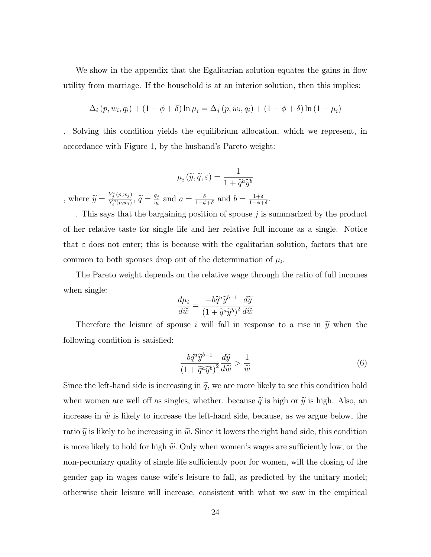We show in the appendix that the Egalitarian solution equates the gains in flow utility from marriage. If the household is at an interior solution, then this implies:

$$
\Delta_i (p, w_i, q_i) + (1 - \phi + \delta) \ln \mu_i = \Delta_j (p, w_i, q_i) + (1 - \phi + \delta) \ln (1 - \mu_i)
$$

. Solving this condition yields the equilibrium allocation, which we represent, in accordance with Figure 1, by the husband's Pareto weight:

$$
\mu_i\left(\widetilde{y},\widetilde{q},\varepsilon\right)=\frac{1}{1+\widetilde{q}^a\widetilde{y}^b}
$$
 , where  $\widetilde{y}=\frac{Y_j^s(p,w_j)}{Y_i^s(p,w_i)},\ \widetilde{q}=\frac{q_j}{q_i}$  and  $a=\frac{\delta}{1-\phi+\delta}$  and  $b=\frac{1+\delta}{1-\phi+\delta}$ .

. This says that the bargaining position of spouse j is summarized by the product of her relative taste for single life and her relative full income as a single. Notice that  $\varepsilon$  does not enter; this is because with the egalitarian solution, factors that are common to both spouses drop out of the determination of  $\mu_i$ .

The Pareto weight depends on the relative wage through the ratio of full incomes when single:

$$
\frac{d\mu_i}{d\widetilde{w}} = \frac{-b\widetilde{q}^a\widetilde{y}^{b-1}}{\left(1 + \widetilde{q}^a\widetilde{y}^b\right)^2} \frac{d\widetilde{y}}{d\widetilde{w}}
$$

Therefore the leisure of spouse i will fall in response to a rise in  $\tilde{y}$  when the following condition is satisfied:

$$
\frac{b\widetilde{q}^a\widetilde{y}^{b-1}}{\left(1+\widetilde{q}^a\widetilde{y}^b\right)^2}\frac{d\widetilde{y}}{d\widetilde{w}} > \frac{1}{\widetilde{w}}
$$
\n
$$
\tag{6}
$$

Since the left-hand side is increasing in  $\tilde{q}$ , we are more likely to see this condition hold when women are well off as singles, whether. because  $\tilde{q}$  is high or  $\tilde{y}$  is high. Also, an increase in  $\tilde{w}$  is likely to increase the left-hand side, because, as we argue below, the ratio  $\tilde{y}$  is likely to be increasing in  $\tilde{w}$ . Since it lowers the right hand side, this condition is more likely to hold for high  $\tilde{w}$ . Only when women's wages are sufficiently low, or the non-pecuniary quality of single life sufficiently poor for women, will the closing of the gender gap in wages cause wife's leisure to fall, as predicted by the unitary model; otherwise their leisure will increase, consistent with what we saw in the empirical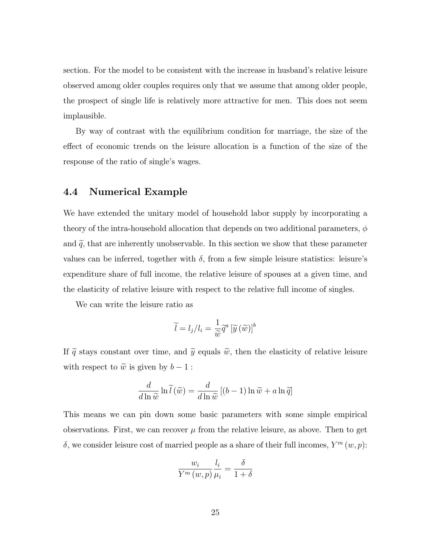section. For the model to be consistent with the increase in husband's relative leisure observed among older couples requires only that we assume that among older people, the prospect of single life is relatively more attractive for men. This does not seem implausible.

By way of contrast with the equilibrium condition for marriage, the size of the effect of economic trends on the leisure allocation is a function of the size of the response of the ratio of single's wages.

#### 4.4 Numerical Example

We have extended the unitary model of household labor supply by incorporating a theory of the intra-household allocation that depends on two additional parameters,  $\phi$ and  $\tilde{q}$ , that are inherently unobservable. In this section we show that these parameter values can be inferred, together with  $\delta$ , from a few simple leisure statistics: leisure's expenditure share of full income, the relative leisure of spouses at a given time, and the elasticity of relative leisure with respect to the relative full income of singles.

We can write the leisure ratio as

$$
\widetilde{l} = l_j / l_i = \frac{1}{\widetilde{w}} \widetilde{q}^a \left[ \widetilde{y} \left( \widetilde{w} \right) \right]^b
$$

If  $\tilde{q}$  stays constant over time, and  $\tilde{y}$  equals  $\tilde{w}$ , then the elasticity of relative leisure with respect to  $\tilde{w}$  is given by  $b-1$ :

$$
\frac{d}{d\ln \widetilde{w}} \ln \widetilde{l}(\widetilde{w}) = \frac{d}{d\ln \widetilde{w}} [(b-1)\ln \widetilde{w} + a\ln \widetilde{q}]
$$

This means we can pin down some basic parameters with some simple empirical observations. First, we can recover  $\mu$  from the relative leisure, as above. Then to get  $\delta$ , we consider leisure cost of married people as a share of their full incomes,  $Y^m(w, p)$ :

$$
\frac{w_i}{Y^m(w,p)} \frac{l_i}{\mu_i} = \frac{\delta}{1+\delta}
$$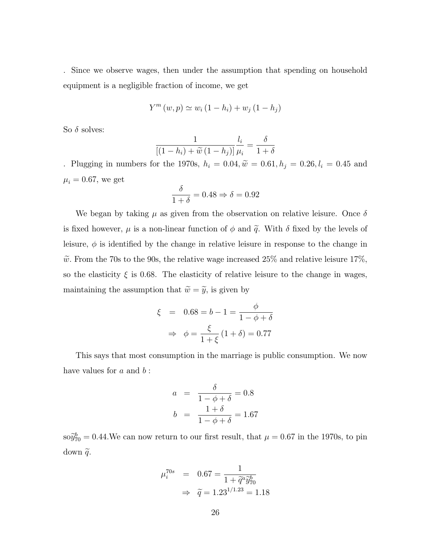. Since we observe wages, then under the assumption that spending on household equipment is a negligible fraction of income, we get

$$
Y^{m}(w, p) \simeq w_{i} (1 - h_{i}) + w_{j} (1 - h_{j})
$$

So  $\delta$  solves:

$$
\frac{1}{\left[(1-h_i)+\widetilde{w}\left(1-h_j\right)\right]}\frac{l_i}{\mu_i} = \frac{\delta}{1+\delta}
$$

. Plugging in numbers for the 1970s,  $h_i = 0.04$ ,  $\tilde{w} = 0.61$ ,  $h_j = 0.26$ ,  $l_i = 0.45$  and  $\mu_i = 0.67$ , we get

$$
\frac{\delta}{1+\delta} = 0.48 \Rightarrow \delta = 0.92
$$

We began by taking  $\mu$  as given from the observation on relative leisure. Once  $\delta$ is fixed however,  $\mu$  is a non-linear function of  $\phi$  and  $\tilde{q}$ . With  $\delta$  fixed by the levels of leisure,  $\phi$  is identified by the change in relative leisure in response to the change in  $\tilde{w}$ . From the 70s to the 90s, the relative wage increased 25% and relative leisure 17%, so the elasticity  $\xi$  is 0.68. The elasticity of relative leisure to the change in wages, maintaining the assumption that  $\widetilde{w} = \widetilde{y}$ , is given by

$$
\xi = 0.68 = b - 1 = \frac{\phi}{1 - \phi + \delta}
$$

$$
\Rightarrow \phi = \frac{\xi}{1 + \xi} (1 + \delta) = 0.77
$$

This says that most consumption in the marriage is public consumption. We now have values for  $a$  and  $b$ :

$$
a = \frac{\delta}{1 - \phi + \delta} = 0.8
$$
  

$$
b = \frac{1 + \delta}{1 - \phi + \delta} = 1.67
$$

 $\partial s \partial_{70}^b = 0.44$ . We can now return to our first result, that  $\mu = 0.67$  in the 1970s, to pin down  $\widetilde{q}$ .

$$
\mu_i^{70s} = 0.67 = \frac{1}{1 + \tilde{q}^a \tilde{y}_{70}^b}
$$

$$
\Rightarrow \tilde{q} = 1.23^{1/1.23} = 1.18
$$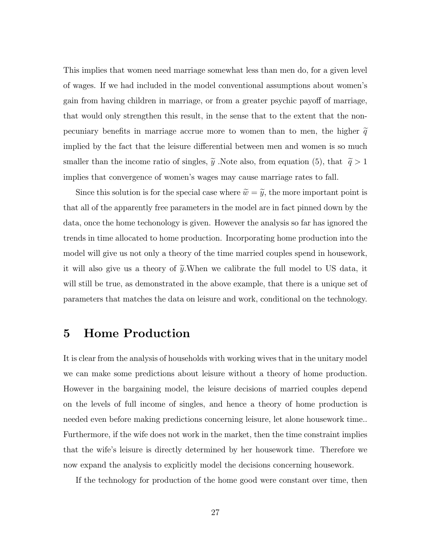This implies that women need marriage somewhat less than men do, for a given level of wages. If we had included in the model conventional assumptions about women's gain from having children in marriage, or from a greater psychic payoff of marriage, that would only strengthen this result, in the sense that to the extent that the nonpecuniary benefits in marriage accrue more to women than to men, the higher  $\tilde{q}$ implied by the fact that the leisure differential between men and women is so much smaller than the income ratio of singles,  $\tilde{y}$ . Note also, from equation (5), that  $\tilde{q} > 1$ implies that convergence of women's wages may cause marriage rates to fall.

Since this solution is for the special case where  $\tilde{w} = \tilde{y}$ , the more important point is that all of the apparently free parameters in the model are in fact pinned down by the data, once the home techonology is given. However the analysis so far has ignored the trends in time allocated to home production. Incorporating home production into the model will give us not only a theory of the time married couples spend in housework, it will also give us a theory of  $\tilde{y}$ . When we calibrate the full model to US data, it will still be true, as demonstrated in the above example, that there is a unique set of parameters that matches the data on leisure and work, conditional on the technology.

## 5 Home Production

It is clear from the analysis of households with working wives that in the unitary model we can make some predictions about leisure without a theory of home production. However in the bargaining model, the leisure decisions of married couples depend on the levels of full income of singles, and hence a theory of home production is needed even before making predictions concerning leisure, let alone housework time.. Furthermore, if the wife does not work in the market, then the time constraint implies that the wife's leisure is directly determined by her housework time. Therefore we now expand the analysis to explicitly model the decisions concerning housework.

If the technology for production of the home good were constant over time, then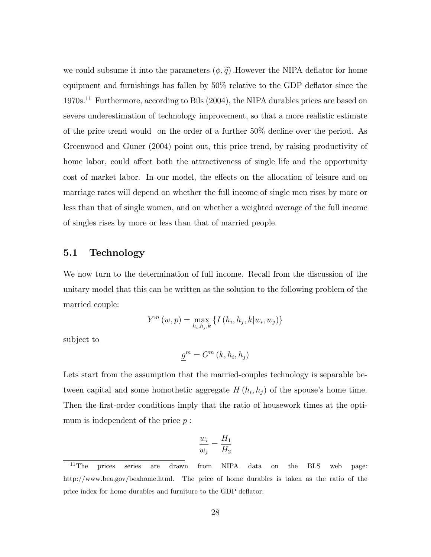we could subsume it into the parameters  $(\phi, \tilde{q})$ . However the NIPA deflator for home equipment and furnishings has fallen by  $50\%$  relative to the GDP deflator since the 1970s.<sup>11</sup> Furthermore, according to Bils (2004), the NIPA durables prices are based on severe underestimation of technology improvement, so that a more realistic estimate of the price trend would on the order of a further 50% decline over the period. As Greenwood and Guner (2004) point out, this price trend, by raising productivity of home labor, could affect both the attractiveness of single life and the opportunity cost of market labor. In our model, the effects on the allocation of leisure and on marriage rates will depend on whether the full income of single men rises by more or less than that of single women, and on whether a weighted average of the full income of singles rises by more or less than that of married people.

#### 5.1 Technology

We now turn to the determination of full income. Recall from the discussion of the unitary model that this can be written as the solution to the following problem of the married couple:

$$
Y^{m}(w, p) = \max_{h_{i}, h_{j}, k} \{ I(h_{i}, h_{j}, k|w_{i}, w_{j}) \}
$$

subject to

$$
\underline{g}^m = G^m(k, h_i, h_j)
$$

Lets start from the assumption that the married-couples technology is separable between capital and some homothetic aggregate  $H(h_i, h_j)$  of the spouse's home time. Then the first-order conditions imply that the ratio of housework times at the optimum is independent of the price  $p$ :

$$
\frac{w_i}{w_j} = \frac{H_1}{H_2}
$$

<sup>&</sup>lt;sup>11</sup>The prices series are drawn from NIPA data on the BLS web page: http://www.bea.gov/beahome.html. The price of home durables is taken as the ratio of the price index for home durables and furniture to the GDP deflator.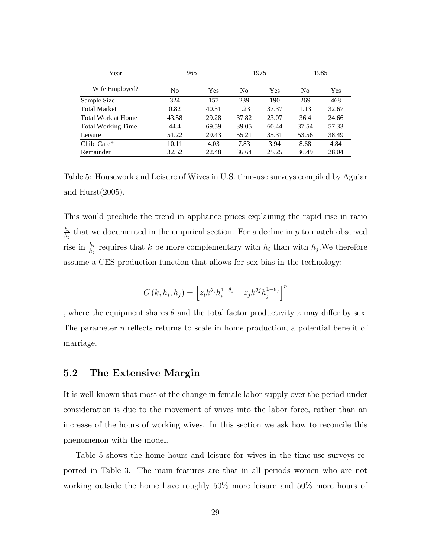| Year                      | 1965           |       |                | 1975  | 1985  |       |  |
|---------------------------|----------------|-------|----------------|-------|-------|-------|--|
| Wife Employed?            | N <sub>0</sub> | Yes   | N <sub>0</sub> | Yes   | No    | Yes   |  |
| Sample Size               | 324            | 157   | 239            | 190   | 269   | 468   |  |
| <b>Total Market</b>       | 0.82           | 40.31 | 1.23           | 37.37 | 1.13  | 32.67 |  |
| Total Work at Home        | 43.58          | 29.28 | 37.82          | 23.07 | 36.4  | 24.66 |  |
| <b>Total Working Time</b> | 44.4           | 69.59 | 39.05          | 60.44 | 37.54 | 57.33 |  |
| Leisure                   | 51.22          | 29.43 | 55.21          | 35.31 | 53.56 | 38.49 |  |
| Child Care*               | 10.11          | 4.03  | 7.83           | 3.94  | 8.68  | 4.84  |  |
| Remainder                 | 32.52          | 22.48 | 36.64          | 25.25 | 36.49 | 28.04 |  |

Table 5: Housework and Leisure of Wives in U.S. time-use surveys compiled by Aguiar and Hurst(2005).

This would preclude the trend in appliance prices explaining the rapid rise in ratio  $h_i$  $\frac{h_i}{h_j}$  that we documented in the empirical section. For a decline in p to match observed rise in  $\frac{h_i}{h_j}$  requires that k be more complementary with  $h_i$  than with  $h_j$ . We therefore assume a CES production function that allows for sex bias in the technology:

$$
G(k, h_i, h_j) = \left[z_i k^{\theta_i} h_i^{1-\theta_i} + z_j k^{\theta_j} h_j^{1-\theta_j}\right]^{\eta}
$$

, where the equipment shares  $\theta$  and the total factor productivity z may differ by sex. The parameter  $\eta$  reflects returns to scale in home production, a potential benefit of marriage.

#### 5.2 The Extensive Margin

It is well-known that most of the change in female labor supply over the period under consideration is due to the movement of wives into the labor force, rather than an increase of the hours of working wives. In this section we ask how to reconcile this phenomenon with the model.

Table 5 shows the home hours and leisure for wives in the time-use surveys reported in Table 3. The main features are that in all periods women who are not working outside the home have roughly 50% more leisure and 50% more hours of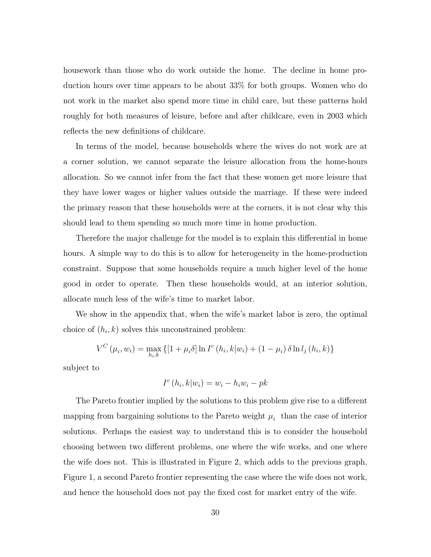housework than those who do work outside the home. The decline in home production hours over time appears to be about 33% for both groups. Women who do not work in the market also spend more time in child care, but these patterns hold roughly for both measures of leisure, before and after childcare, even in 2003 which reflects the new definitions of childcare.

In terms of the model, because households where the wives do not work are at a corner solution, we cannot separate the leisure allocation from the home-hours allocation. So we cannot infer from the fact that these women get more leisure that they have lower wages or higher values outside the marriage. If these were indeed the primary reason that these households were at the corners, it is not clear why this should lead to them spending so much more time in home production.

Therefore the major challenge for the model is to explain this differential in home hours. A simple way to do this is to allow for heterogeneity in the home-production constraint. Suppose that some households require a much higher level of the home good in order to operate. Then these households would, at an interior solution, allocate much less of the wife's time to market labor.

We show in the appendix that, when the wife's market labor is zero, the optimal choice of  $(h_i, k)$  solves this unconstrained problem:

$$
V^{C}(\mu_{i}, w_{i}) = \max_{h_{i}, k} \{ [1 + \mu_{i}\delta] \ln I^{c}(h_{i}, k|w_{i}) + (1 - \mu_{i}) \delta \ln l_{j}(h_{i}, k) \}
$$

subject to

$$
I^c(h_i, k|w_i) = w_i - h_i w_i - p k
$$

The Pareto frontier implied by the solutions to this problem give rise to a different mapping from bargaining solutions to the Pareto weight  $\mu_i$  than the case of interior solutions. Perhaps the easiest way to understand this is to consider the household choosing between two different problems, one where the wife works, and one where the wife does not. This is illustrated in Figure 2, which adds to the previous graph, Figure 1, a second Pareto frontier representing the case where the wife does not work, and hence the household does not pay the fixed cost for market entry of the wife.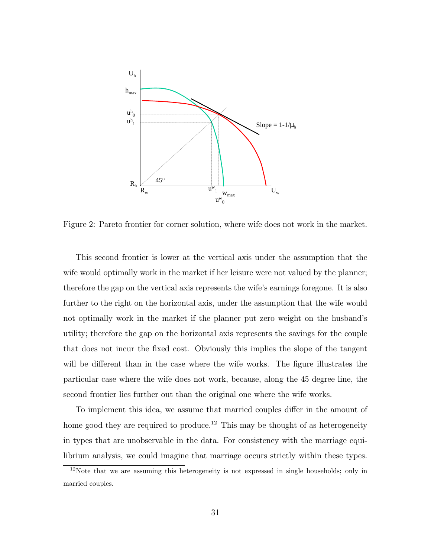

Figure 2: Pareto frontier for corner solution, where wife does not work in the market.

This second frontier is lower at the vertical axis under the assumption that the wife would optimally work in the market if her leisure were not valued by the planner; therefore the gap on the vertical axis represents the wife's earnings foregone. It is also further to the right on the horizontal axis, under the assumption that the wife would not optimally work in the market if the planner put zero weight on the husband's utility; therefore the gap on the horizontal axis represents the savings for the couple that does not incur the fixed cost. Obviously this implies the slope of the tangent will be different than in the case where the wife works. The figure illustrates the particular case where the wife does not work, because, along the 45 degree line, the second frontier lies further out than the original one where the wife works.

To implement this idea, we assume that married couples differ in the amount of home good they are required to produce.<sup>12</sup> This may be thought of as heterogeneity in types that are unobservable in the data. For consistency with the marriage equilibrium analysis, we could imagine that marriage occurs strictly within these types.

<sup>&</sup>lt;sup>12</sup>Note that we are assuming this heterogeneity is not expressed in single households; only in married couples.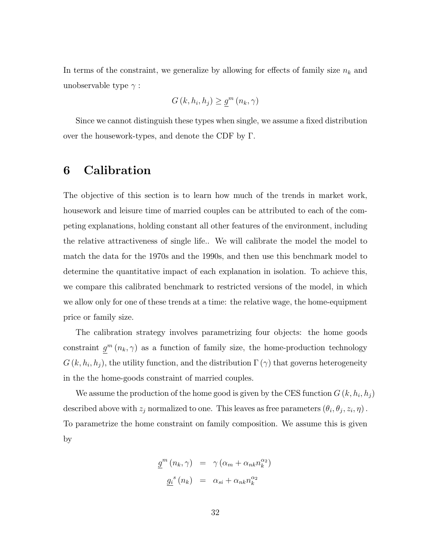In terms of the constraint, we generalize by allowing for effects of family size  $n_k$  and unobservable type  $\gamma$ :

$$
G(k, h_i, h_j) \ge \underline{g}^m(n_k, \gamma)
$$

Since we cannot distinguish these types when single, we assume a fixed distribution over the housework-types, and denote the CDF by  $\Gamma$ .

## 6 Calibration

The objective of this section is to learn how much of the trends in market work, housework and leisure time of married couples can be attributed to each of the competing explanations, holding constant all other features of the environment, including the relative attractiveness of single life.. We will calibrate the model the model to match the data for the 1970s and the 1990s, and then use this benchmark model to determine the quantitative impact of each explanation in isolation. To achieve this, we compare this calibrated benchmark to restricted versions of the model, in which we allow only for one of these trends at a time: the relative wage, the home-equipment price or family size.

The calibration strategy involves parametrizing four objects: the home goods constraint  $g^m(n_k, \gamma)$  as a function of family size, the home-production technology  $G(k, h_i, h_j)$ , the utility function, and the distribution  $\Gamma(\gamma)$  that governs heterogeneity in the the home-goods constraint of married couples.

We assume the production of the home good is given by the CES function  $G(k, h_i, h_j)$ described above with  $z_j$  normalized to one. This leaves as free parameters  $(\theta_i, \theta_j, z_i, \eta)$ . To parametrize the home constraint on family composition. We assume this is given by

$$
\underline{g}^{m} (n_{k}, \gamma) = \gamma (\alpha_{m} + \alpha_{nk} n_{k}^{\alpha_{2}})
$$

$$
\underline{g_{i}}^{s} (n_{k}) = \alpha_{si} + \alpha_{nk} n_{k}^{\alpha_{2}}
$$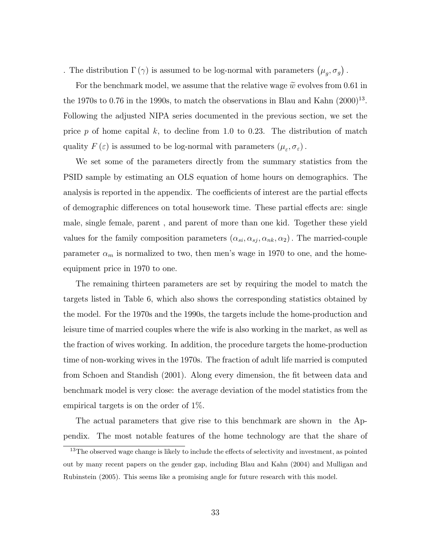. The distribution  $\Gamma(\gamma)$  is assumed to be log-normal with parameters  $(\mu_g, \sigma_g)$ .

For the benchmark model, we assume that the relative wage  $\tilde{w}$  evolves from 0.61 in the 1970s to 0.76 in the 1990s, to match the observations in Blau and Kahn  $(2000)^{13}$ . Following the adjusted NIPA series documented in the previous section, we set the price p of home capital k, to decline from 1.0 to 0.23. The distribution of match quality  $F(\varepsilon)$  is assumed to be log-normal with parameters  $(\mu_{\varepsilon}, \sigma_{\varepsilon})$ .

We set some of the parameters directly from the summary statistics from the PSID sample by estimating an OLS equation of home hours on demographics. The analysis is reported in the appendix. The coefficients of interest are the partial effects of demographic differences on total housework time. These partial effects are: single male, single female, parent , and parent of more than one kid. Together these yield values for the family composition parameters  $(\alpha_{si}, \alpha_{sj}, \alpha_{nk}, \alpha_2)$ . The married-couple parameter  $\alpha_m$  is normalized to two, then men's wage in 1970 to one, and the homeequipment price in 1970 to one.

The remaining thirteen parameters are set by requiring the model to match the targets listed in Table 6, which also shows the corresponding statistics obtained by the model. For the 1970s and the 1990s, the targets include the home-production and leisure time of married couples where the wife is also working in the market, as well as the fraction of wives working. In addition, the procedure targets the home-production time of non-working wives in the 1970s. The fraction of adult life married is computed from Schoen and Standish (2001). Along every dimension, the fit between data and benchmark model is very close: the average deviation of the model statistics from the empirical targets is on the order of 1%.

The actual parameters that give rise to this benchmark are shown in the Appendix. The most notable features of the home technology are that the share of

 $13$ The observed wage change is likely to include the effects of selectivity and investment, as pointed out by many recent papers on the gender gap, including Blau and Kahn (2004) and Mulligan and Rubinstein (2005). This seems like a promising angle for future research with this model.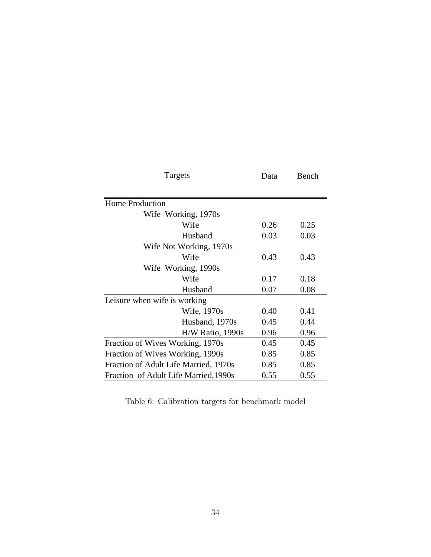| Targets                               | Data | Bench |
|---------------------------------------|------|-------|
|                                       |      |       |
| <b>Home Production</b>                |      |       |
| Wife Working, 1970s                   |      |       |
| Wife                                  | 0.26 | 0.25  |
| Husband                               | 0.03 | 0.03  |
| Wife Not Working, 1970s               |      |       |
| Wife                                  | 0.43 | 0.43  |
| Wife Working, 1990s                   |      |       |
| Wife                                  | 0.17 | 0.18  |
| Husband                               | 0.07 | 0.08  |
| Leisure when wife is working          |      |       |
| Wife, 1970s                           | 0.40 | 0.41  |
| Husband, 1970s                        | 0.45 | 0.44  |
| $H/W$ Ratio, 1990s                    | 0.96 | 0.96  |
| Fraction of Wives Working, 1970s      | 0.45 | 0.45  |
| Fraction of Wives Working, 1990s      | 0.85 | 0.85  |
| Fraction of Adult Life Married, 1970s | 0.85 | 0.85  |
| Fraction of Adult Life Married, 1990s | 0.55 | 0.55  |

Table 6: Calibration targets for benchmark model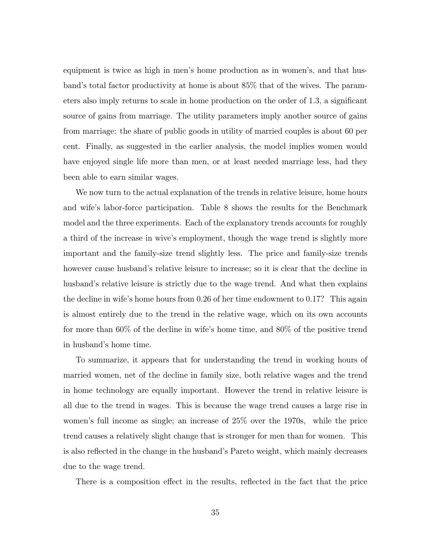equipment is twice as high in men's home production as in women's, and that husband's total factor productivity at home is about 85% that of the wives. The parameters also imply returns to scale in home production on the order of 1.3, a signicant source of gains from marriage. The utility parameters imply another source of gains from marriage: the share of public goods in utility of married couples is about 60 per cent. Finally, as suggested in the earlier analysis, the model implies women would have enjoyed single life more than men, or at least needed marriage less, had they been able to earn similar wages.

We now turn to the actual explanation of the trends in relative leisure, home hours and wife's labor-force participation. Table 8 shows the results for the Benchmark model and the three experiments. Each of the explanatory trends accounts for roughly a third of the increase in wive's employment, though the wage trend is slightly more important and the family-size trend slightly less. The price and family-size trends however cause husband's relative leisure to increase; so it is clear that the decline in husband's relative leisure is strictly due to the wage trend. And what then explains the decline in wife's home hours from 0.26 of her time endowment to 0.17? This again is almost entirely due to the trend in the relative wage, which on its own accounts for more than 60% of the decline in wife's home time, and 80% of the positive trend in husband's home time.

To summarize, it appears that for understanding the trend in working hours of married women, net of the decline in family size, both relative wages and the trend in home technology are equally important. However the trend in relative leisure is all due to the trend in wages. This is because the wage trend causes a large rise in women's full income as single; an increase of 25% over the 1970s, while the price trend causes a relatively slight change that is stronger for men than for women. This is also reflected in the change in the husband's Pareto weight, which mainly decreases due to the wage trend.

There is a composition effect in the results, reflected in the fact that the price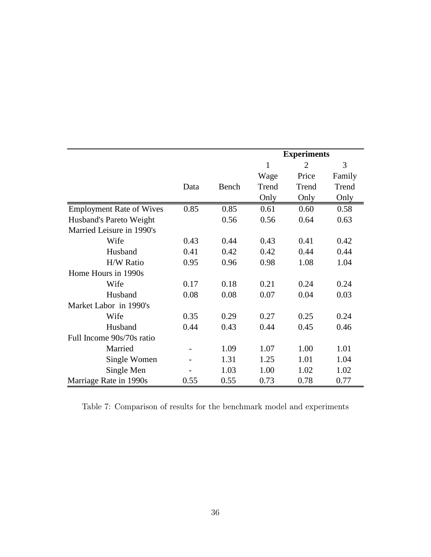|                                 |      |       | <b>Experiments</b> |                |        |
|---------------------------------|------|-------|--------------------|----------------|--------|
|                                 |      |       | $\mathbf{1}$       | $\overline{2}$ | 3      |
|                                 |      |       | Wage               | Price          | Family |
|                                 | Data | Bench | Trend              | Trend          | Trend  |
|                                 |      |       | Only               | Only           | Only   |
| <b>Employment Rate of Wives</b> | 0.85 | 0.85  | 0.61               | 0.60           | 0.58   |
| Husband's Pareto Weight         |      | 0.56  | 0.56               | 0.64           | 0.63   |
| Married Leisure in 1990's       |      |       |                    |                |        |
| Wife                            | 0.43 | 0.44  | 0.43               | 0.41           | 0.42   |
| Husband                         | 0.41 | 0.42  | 0.42               | 0.44           | 0.44   |
| <b>H/W Ratio</b>                | 0.95 | 0.96  | 0.98               | 1.08           | 1.04   |
| Home Hours in 1990s             |      |       |                    |                |        |
| Wife                            | 0.17 | 0.18  | 0.21               | 0.24           | 0.24   |
| Husband                         | 0.08 | 0.08  | 0.07               | 0.04           | 0.03   |
| Market Labor in 1990's          |      |       |                    |                |        |
| Wife                            | 0.35 | 0.29  | 0.27               | 0.25           | 0.24   |
| Husband                         | 0.44 | 0.43  | 0.44               | 0.45           | 0.46   |
| Full Income 90s/70s ratio       |      |       |                    |                |        |
| Married                         |      | 1.09  | 1.07               | 1.00           | 1.01   |
| Single Women                    |      | 1.31  | 1.25               | 1.01           | 1.04   |
| Single Men                      |      | 1.03  | 1.00               | 1.02           | 1.02   |
| Marriage Rate in 1990s          | 0.55 | 0.55  | 0.73               | 0.78           | 0.77   |

Table 7: Comparison of results for the benchmark model and experiments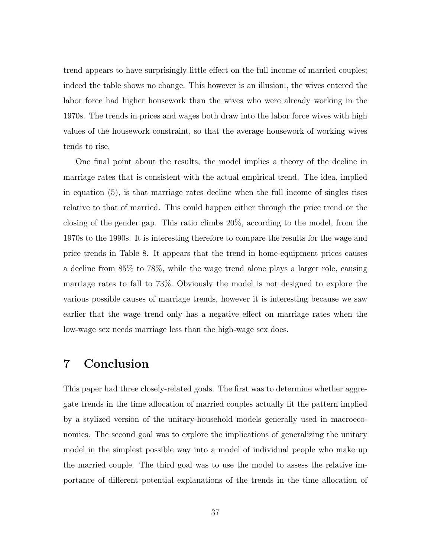trend appears to have surprisingly little effect on the full income of married couples; indeed the table shows no change. This however is an illusion:, the wives entered the labor force had higher housework than the wives who were already working in the 1970s. The trends in prices and wages both draw into the labor force wives with high values of the housework constraint, so that the average housework of working wives tends to rise.

One final point about the results; the model implies a theory of the decline in marriage rates that is consistent with the actual empirical trend. The idea, implied in equation (5), is that marriage rates decline when the full income of singles rises relative to that of married. This could happen either through the price trend or the closing of the gender gap. This ratio climbs 20%, according to the model, from the 1970s to the 1990s. It is interesting therefore to compare the results for the wage and price trends in Table 8. It appears that the trend in home-equipment prices causes a decline from 85% to 78%, while the wage trend alone plays a larger role, causing marriage rates to fall to 73%. Obviously the model is not designed to explore the various possible causes of marriage trends, however it is interesting because we saw earlier that the wage trend only has a negative effect on marriage rates when the low-wage sex needs marriage less than the high-wage sex does.

### 7 Conclusion

This paper had three closely-related goals. The first was to determine whether aggregate trends in the time allocation of married couples actually fit the pattern implied by a stylized version of the unitary-household models generally used in macroeconomics. The second goal was to explore the implications of generalizing the unitary model in the simplest possible way into a model of individual people who make up the married couple. The third goal was to use the model to assess the relative importance of different potential explanations of the trends in the time allocation of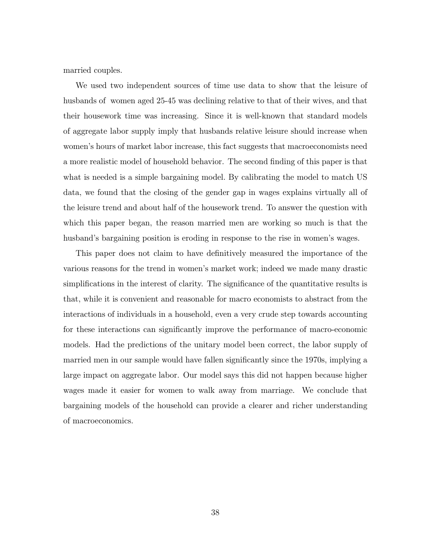married couples.

We used two independent sources of time use data to show that the leisure of husbands of women aged 25-45 was declining relative to that of their wives, and that their housework time was increasing. Since it is well-known that standard models of aggregate labor supply imply that husbands relative leisure should increase when women's hours of market labor increase, this fact suggests that macroeconomists need a more realistic model of household behavior. The second nding of this paper is that what is needed is a simple bargaining model. By calibrating the model to match US data, we found that the closing of the gender gap in wages explains virtually all of the leisure trend and about half of the housework trend. To answer the question with which this paper began, the reason married men are working so much is that the husband's bargaining position is eroding in response to the rise in women's wages.

This paper does not claim to have definitively measured the importance of the various reasons for the trend in women's market work; indeed we made many drastic simplications in the interest of clarity. The signicance of the quantitative results is that, while it is convenient and reasonable for macro economists to abstract from the interactions of individuals in a household, even a very crude step towards accounting for these interactions can signicantly improve the performance of macro-economic models. Had the predictions of the unitary model been correct, the labor supply of married men in our sample would have fallen significantly since the 1970s, implying a large impact on aggregate labor. Our model says this did not happen because higher wages made it easier for women to walk away from marriage. We conclude that bargaining models of the household can provide a clearer and richer understanding of macroeconomics.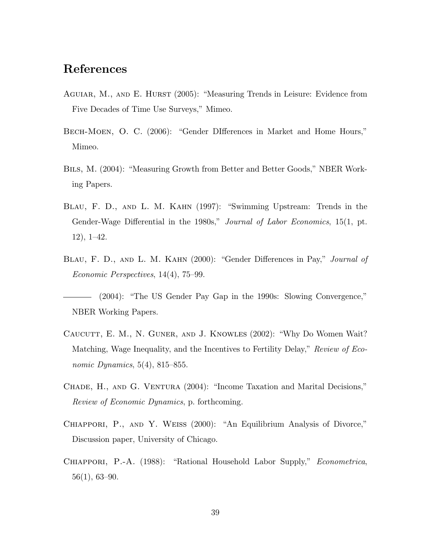## References

- AGUIAR, M., AND E. HURST (2005): "Measuring Trends in Leisure: Evidence from Five Decades of Time Use Surveys," Mimeo.
- BECH-MOEN, O. C. (2006): "Gender DIfferences in Market and Home Hours," Mimeo.
- BILS, M. (2004): "Measuring Growth from Better and Better Goods," NBER Working Papers.
- BLAU, F. D., AND L. M. KAHN (1997): "Swimming Upstream: Trends in the Gender-Wage Differential in the 1980s," Journal of Labor Economics, 15(1, pt.  $12$ ,  $1–42$ .
- BLAU, F. D., AND L. M. KAHN (2000): "Gender Differences in Pay," Journal of Economic Perspectives,  $14(4)$ ,  $75-99$ .
- $(2004)$ : "The US Gender Pay Gap in the 1990s: Slowing Convergence," NBER Working Papers.
- CAUCUTT, E. M., N. GUNER, AND J. KNOWLES (2002): "Why Do Women Wait? Matching, Wage Inequality, and the Incentives to Fertility Delay," Review of Economic Dynamics,  $5(4)$ ,  $815-855$ .
- CHADE, H., AND G. VENTURA (2004): "Income Taxation and Marital Decisions," Review of Economic Dynamics, p. forthcoming.
- CHIAPPORI, P., AND Y. WEISS (2000): "An Equilibrium Analysis of Divorce," Discussion paper, University of Chicago.
- CHIAPPORI, P.-A. (1988): "Rational Household Labor Supply," *Econometrica*,  $56(1)$ , 63-90.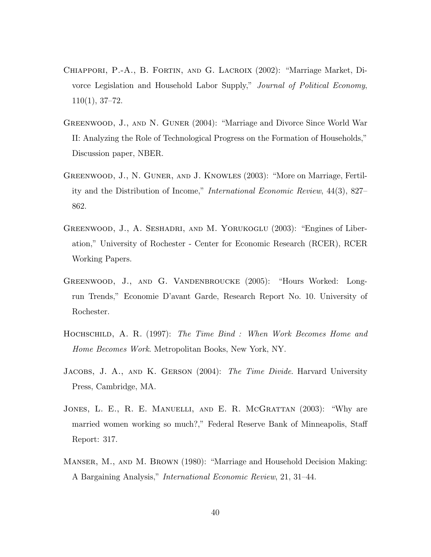- CHIAPPORI, P.-A., B. FORTIN, AND G. LACROIX (2002): "Marriage Market, Divorce Legislation and Household Labor Supply," Journal of Political Economy,  $110(1), 37-72.$
- GREENWOOD, J., AND N. GUNER (2004): "Marriage and Divorce Since World War II: Analyzing the Role of Technological Progress on the Formation of Households," Discussion paper, NBER.
- GREENWOOD, J., N. GUNER, AND J. KNOWLES (2003): "More on Marriage, Fertility and the Distribution of Income," *International Economic Review*, 44(3), 827– 862.
- GREENWOOD, J., A. SESHADRI, AND M. YORUKOGLU (2003): "Engines of Liberation," University of Rochester - Center for Economic Research (RCER), RCER Working Papers.
- GREENWOOD, J., AND G. VANDENBROUCKE (2005): "Hours Worked: Longrun Trends," Economie D'avant Garde, Research Report No. 10. University of Rochester.
- HOCHSCHILD, A. R. (1997): The Time Bind : When Work Becomes Home and Home Becomes Work. Metropolitan Books, New York, NY.
- JACOBS, J. A., AND K. GERSON (2004): The Time Divide. Harvard University Press, Cambridge, MA.
- JONES, L. E., R. E. MANUELLI, AND E. R. MCGRATTAN (2003): "Why are married women working so much?," Federal Reserve Bank of Minneapolis, Sta Report: 317.
- MANSER, M., AND M. BROWN (1980): "Marriage and Household Decision Making: A Bargaining Analysis," *International Economic Review*, 21, 31–44.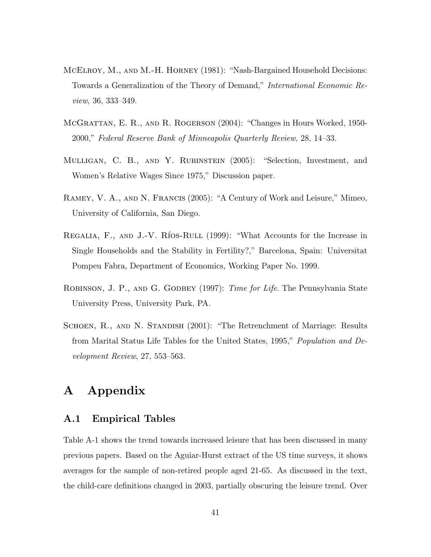- MCELROY, M., AND M.-H. HORNEY (1981): "Nash-Bargained Household Decisions: Towards a Generalization of the Theory of Demand," International Economic Review, 36, 333-349.
- MCGRATTAN, E. R., AND R. ROGERSON (2004): "Changes in Hours Worked, 1950-2000," Federal Reserve Bank of Minneapolis Quarterly Review, 28, 14-33.
- MULLIGAN, C. B., AND Y. RUBINSTEIN  $(2005)$ : "Selection, Investment, and Women's Relative Wages Since 1975," Discussion paper.
- RAMEY, V. A., AND N. FRANCIS (2005): "A Century of Work and Leisure," Mimeo, University of California, San Diego.
- REGALIA, F., AND J.-V. RÍOS-RULL  $(1999)$ : "What Accounts for the Increase in Single Households and the Stability in Fertility?," Barcelona, Spain: Universitat Pompeu Fabra, Department of Economics, Working Paper No. 1999.
- ROBINSON, J. P., AND G. GODBEY (1997): *Time for Life*. The Pennsylvania State University Press, University Park, PA.
- SCHOEN, R., AND N. STANDISH (2001): "The Retrenchment of Marriage: Results from Marital Status Life Tables for the United States, 1995," Population and Development Review,  $27, 553-563$ .

# A Appendix

#### A.1 Empirical Tables

Table A-1 shows the trend towards increased leisure that has been discussed in many previous papers. Based on the Aguiar-Hurst extract of the US time surveys, it shows averages for the sample of non-retired people aged 21-65. As discussed in the text, the child-care definitions changed in 2003, partially obscuring the leisure trend. Over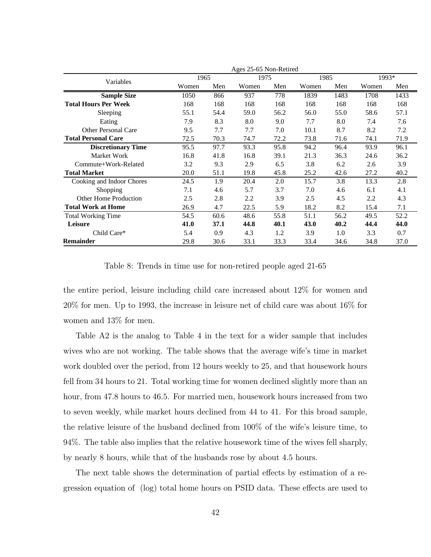|                              | Ages 25-65 Non-Retired |      |       |      |       |      |       |      |
|------------------------------|------------------------|------|-------|------|-------|------|-------|------|
| Variables                    | 1965                   |      | 1975  |      | 1985  |      | 1993* |      |
|                              | Women                  | Men  | Women | Men  | Women | Men  | Women | Men  |
| Sample Size                  | 1050                   | 866  | 937   | 778  | 1839  | 1483 | 1708  | 1433 |
| <b>Total Hours Per Week</b>  | 168                    | 168  | 168   | 168  | 168   | 168  | 168   | 168  |
| Sleeping                     | 55.1                   | 54.4 | 59.0  | 56.2 | 56.0  | 55.0 | 58.6  | 57.1 |
| Eating                       | 7.9                    | 8.3  | 8.0   | 9.0  | 7.7   | 8.0  | 7.4   | 7.6  |
| Other Personal Care          | 9.5                    | 7.7  | 7.7   | 7.0  | 10.1  | 8.7  | 8.2   | 7.2  |
| <b>Total Personal Care</b>   | 72.5                   | 70.3 | 74.7  | 72.2 | 73.8  | 71.6 | 74.1  | 71.9 |
| <b>Discretionary Time</b>    | 95.5                   | 97.7 | 93.3  | 95.8 | 94.2  | 96.4 | 93.9  | 96.1 |
| Market Work                  | 16.8                   | 41.8 | 16.8  | 39.1 | 21.3  | 36.3 | 24.6  | 36.2 |
| Commute+Work-Related         | 3.2                    | 9.3  | 2.9   | 6.5  | 3.8   | 6.2  | 2.6   | 3.9  |
| <b>Total Market</b>          | 20.0                   | 51.1 | 19.8  | 45.8 | 25.2  | 42.6 | 27.2  | 40.2 |
| Cooking and Indoor Chores    | 24.5                   | 1.9  | 20.4  | 2.0  | 15.7  | 3.8  | 13.3  | 2.8  |
| Shopping                     | 7.1                    | 4.6  | 5.7   | 3.7  | 7.0   | 4.6  | 6.1   | 4.1  |
| <b>Other Home Production</b> | 2.5                    | 2.8  | 2.2   | 3.9  | 2.5   | 4.5  | 2.2   | 4.3  |
| <b>Total Work at Home</b>    | 26.9                   | 4.7  | 22.5  | 5.9  | 18.2  | 8.2  | 15.4  | 7.1  |
| <b>Total Working Time</b>    | 54.5                   | 60.6 | 48.6  | 55.8 | 51.1  | 56.2 | 49.5  | 52.2 |
| Leisure                      | 41.0                   | 37.1 | 44.8  | 40.1 | 43.0  | 40.2 | 44.4  | 44.0 |
| Child Care*                  | 5.4                    | 0.9  | 4.3   | 1.2  | 3.9   | 1.0  | 3.3   | 0.7  |
| Remainder                    | 29.8                   | 30.6 | 33.1  | 33.3 | 33.4  | 34.6 | 34.8  | 37.0 |

Table 8: Trends in time use for non-retired people aged 21-65

the entire period, leisure including child care increased about 12% for women and 20% for men. Up to 1993, the increase in leisure net of child care was about 16% for women and 13% for men.

Table A2 is the analog to Table 4 in the text for a wider sample that includes wives who are not working. The table shows that the average wife's time in market work doubled over the period, from 12 hours weekly to 25, and that housework hours fell from 34 hours to 21. Total working time for women declined slightly more than an hour, from 47.8 hours to 46.5. For married men, housework hours increased from two to seven weekly, while market hours declined from 44 to 41. For this broad sample, the relative leisure of the husband declined from 100% of the wife's leisure time, to 94%. The table also implies that the relative housework time of the wives fell sharply, by nearly 8 hours, while that of the husbands rose by about 4.5 hours.

The next table shows the determination of partial effects by estimation of a regression equation of (log) total home hours on PSID data. These effects are used to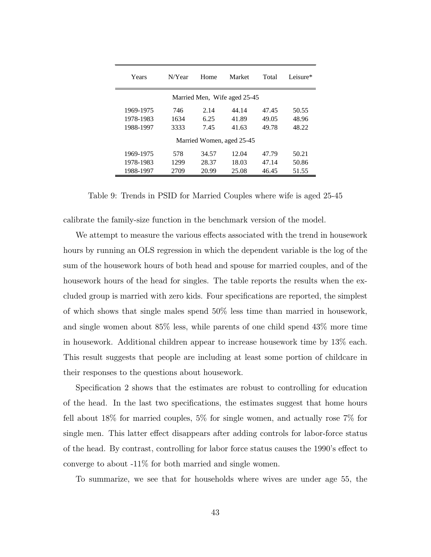| Years                        | N/Year | Home  | Market | Total | Leisure* |  |  |
|------------------------------|--------|-------|--------|-------|----------|--|--|
| Married Men, Wife aged 25-45 |        |       |        |       |          |  |  |
| 1969-1975                    | 746    | 2.14  | 44.14  | 47.45 | 50.55    |  |  |
| 1978-1983                    | 1634   | 6.25  | 41.89  | 49.05 | 48.96    |  |  |
| 1988-1997                    | 3333   | 7.45  | 41.63  | 49.78 | 48.22    |  |  |
| Married Women, aged 25-45    |        |       |        |       |          |  |  |
| 1969-1975                    | 578    | 34.57 | 12.04  | 47.79 | 50.21    |  |  |
| 1978-1983                    | 1299   | 28.37 | 18.03  | 47.14 | 50.86    |  |  |
| 1988-1997                    | 2709   | 20.99 | 25.08  | 46.45 | 51.55    |  |  |

Table 9: Trends in PSID for Married Couples where wife is aged 25-45

calibrate the family-size function in the benchmark version of the model.

We attempt to measure the various effects associated with the trend in housework hours by running an OLS regression in which the dependent variable is the log of the sum of the housework hours of both head and spouse for married couples, and of the housework hours of the head for singles. The table reports the results when the excluded group is married with zero kids. Four specications are reported, the simplest of which shows that single males spend 50% less time than married in housework, and single women about 85% less, while parents of one child spend 43% more time in housework. Additional children appear to increase housework time by 13% each. This result suggests that people are including at least some portion of childcare in their responses to the questions about housework.

Specification 2 shows that the estimates are robust to controlling for education of the head. In the last two specications, the estimates suggest that home hours fell about 18% for married couples, 5% for single women, and actually rose 7% for single men. This latter effect disappears after adding controls for labor-force status of the head. By contrast, controlling for labor force status causes the 1990's effect to converge to about -11% for both married and single women.

To summarize, we see that for households where wives are under age 55, the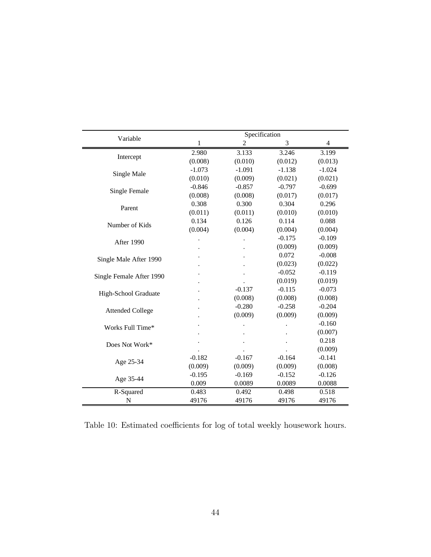|                          | Specification |                |          |                          |  |  |  |
|--------------------------|---------------|----------------|----------|--------------------------|--|--|--|
| Variable                 | 1             | $\overline{c}$ | 3        | $\overline{\mathcal{A}}$ |  |  |  |
|                          | 2.980         | 3.133          | 3.246    | 3.199                    |  |  |  |
| Intercept                | (0.008)       | (0.010)        | (0.012)  | (0.013)                  |  |  |  |
|                          | $-1.073$      | $-1.091$       | $-1.138$ | $-1.024$                 |  |  |  |
| Single Male              | (0.010)       | (0.009)        | (0.021)  | (0.021)                  |  |  |  |
|                          | $-0.846$      | $-0.857$       | $-0.797$ | $-0.699$                 |  |  |  |
| Single Female            | (0.008)       | (0.008)        | (0.017)  | (0.017)                  |  |  |  |
|                          | 0.308         | 0.300          | 0.304    | 0.296                    |  |  |  |
| Parent                   | (0.011)       | (0.011)        | (0.010)  | (0.010)                  |  |  |  |
| Number of Kids           | 0.134         | 0.126          | 0.114    | 0.088                    |  |  |  |
|                          | (0.004)       | (0.004)        | (0.004)  | (0.004)                  |  |  |  |
| After 1990               |               |                | $-0.175$ | $-0.109$                 |  |  |  |
|                          |               |                | (0.009)  | (0.009)                  |  |  |  |
|                          |               |                | 0.072    | $-0.008$                 |  |  |  |
| Single Male After 1990   |               |                | (0.023)  | (0.022)                  |  |  |  |
|                          |               |                | $-0.052$ | $-0.119$                 |  |  |  |
| Single Female After 1990 |               |                | (0.019)  | (0.019)                  |  |  |  |
|                          |               | $-0.137$       | $-0.115$ | $-0.073$                 |  |  |  |
| High-School Graduate     |               | (0.008)        | (0.008)  | (0.008)                  |  |  |  |
|                          |               | $-0.280$       | $-0.258$ | $-0.204$                 |  |  |  |
| <b>Attended College</b>  |               | (0.009)        | (0.009)  | (0.009)                  |  |  |  |
| Works Full Time*         |               |                |          | $-0.160$                 |  |  |  |
|                          |               |                |          | (0.007)                  |  |  |  |
| Does Not Work*           |               |                |          | 0.218                    |  |  |  |
|                          |               |                |          | (0.009)                  |  |  |  |
|                          | $-0.182$      | $-0.167$       | $-0.164$ | $-0.141$                 |  |  |  |
| Age 25-34                | (0.009)       | (0.009)        | (0.009)  | (0.008)                  |  |  |  |
|                          | $-0.195$      | $-0.169$       | $-0.152$ | $-0.126$                 |  |  |  |
| Age 35-44                | 0.009         | 0.0089         | 0.0089   | 0.0088                   |  |  |  |
| R-Squared                | 0.483         | 0.492          | 0.498    | 0.518                    |  |  |  |
| N                        | 49176         | 49176          | 49176    | 49176                    |  |  |  |

Table 10: Estimated coefficients for log of total weekly housework hours.  $\,$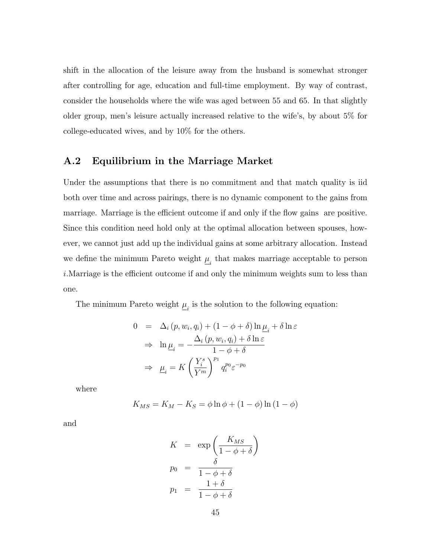shift in the allocation of the leisure away from the husband is somewhat stronger after controlling for age, education and full-time employment. By way of contrast, consider the households where the wife was aged between 55 and 65. In that slightly older group, men's leisure actually increased relative to the wife's, by about 5% for college-educated wives, and by 10% for the others.

### A.2 Equilibrium in the Marriage Market

Under the assumptions that there is no commitment and that match quality is iid both over time and across pairings, there is no dynamic component to the gains from marriage. Marriage is the efficient outcome if and only if the flow gains are positive. Since this condition need hold only at the optimal allocation between spouses, however, we cannot just add up the individual gains at some arbitrary allocation. Instead we define the minimum Pareto weight  $\underline{\mu}_i$  that makes marriage acceptable to person  $i$ . Marriage is the efficient outcome if and only the minimum weights sum to less than one.

The minimum Pareto weight  $\underline{\mu}_i$  is the solution to the following equation:

$$
0 = \Delta_i (p, w_i, q_i) + (1 - \phi + \delta) \ln \underline{\mu}_i + \delta \ln \varepsilon
$$
  
\n
$$
\Rightarrow \ln \underline{\mu}_i = -\frac{\Delta_i (p, w_i, q_i) + \delta \ln \varepsilon}{1 - \phi + \delta}
$$
  
\n
$$
\Rightarrow \underline{\mu}_i = K \left(\frac{Y_i^s}{Y^m}\right)^{p_1} q_i^{p_0} \varepsilon^{-p_0}
$$

where

$$
K_{MS} = K_M - K_S = \phi \ln \phi + (1 - \phi) \ln (1 - \phi)
$$

and

$$
K = \exp\left(\frac{K_{MS}}{1 - \phi + \delta}\right)
$$
  
\n
$$
p_0 = \frac{\delta}{1 - \phi + \delta}
$$
  
\n
$$
p_1 = \frac{1 + \delta}{1 - \phi + \delta}
$$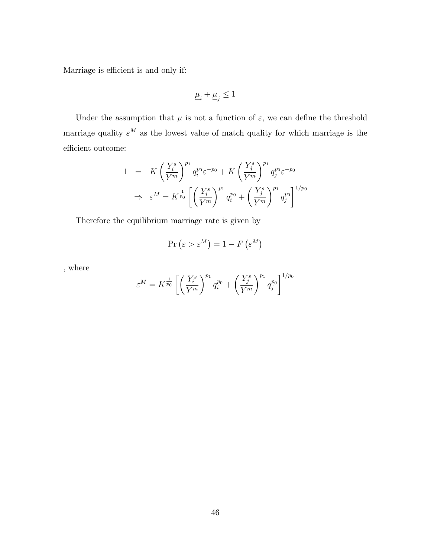Marriage is efficient is and only if:

$$
\underline{\mu}_i+\underline{\mu}_j\leq 1
$$

Under the assumption that  $\mu$  is not a function of  $\varepsilon$ , we can define the threshold marriage quality  $\varepsilon^M$  as the lowest value of match quality for which marriage is the  $\!$ efficient outcome:

$$
1 = K \left(\frac{Y_i^s}{Y^m}\right)^{p_1} q_i^{p_0} \varepsilon^{-p_0} + K \left(\frac{Y_j^s}{Y^m}\right)^{p_1} q_j^{p_0} \varepsilon^{-p_0}
$$
  

$$
\Rightarrow \varepsilon^M = K^{\frac{1}{p_0}} \left[ \left(\frac{Y_i^s}{Y^m}\right)^{p_1} q_i^{p_0} + \left(\frac{Y_j^s}{Y^m}\right)^{p_1} q_j^{p_0} \right]^{1/p_0}
$$

Therefore the equilibrium marriage rate is given by

$$
\Pr\left(\varepsilon > \varepsilon^M\right) = 1 - F\left(\varepsilon^M\right)
$$

, where

$$
\varepsilon^{M} = K^{\frac{1}{p_0}} \left[ \left( \frac{Y_i^s}{Y^m} \right)^{p_1} q_i^{p_0} + \left( \frac{Y_j^s}{Y^m} \right)^{p_1} q_j^{p_0} \right]^{1/p_0}
$$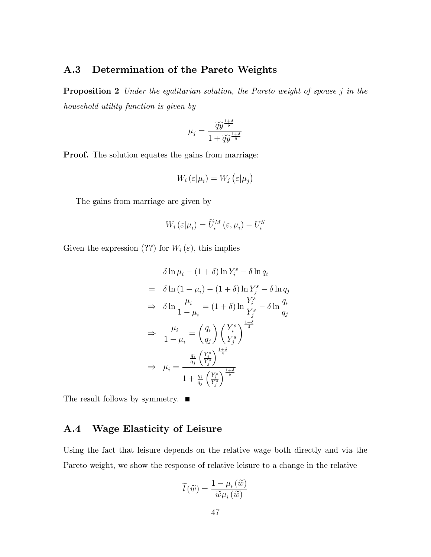### A.3 Determination of the Pareto Weights

Proposition 2 Under the egalitarian solution, the Pareto weight of spouse j in the household utility function is given by

$$
\mu_j = \frac{\widetilde{q}\widetilde{y}^{\frac{1+\delta}{\delta}}}{1 + \widetilde{q}\widetilde{y}^{\frac{1+\delta}{\delta}}}
$$

Proof. The solution equates the gains from marriage:

$$
W_i\left(\varepsilon|\mu_i\right) = W_j\left(\varepsilon|\mu_j\right)
$$

The gains from marriage are given by

$$
W_i\left(\varepsilon|\mu_i\right) = \widetilde{U}_i^M\left(\varepsilon,\mu_i\right) - U_i^S
$$

Given the expression (??) for  $W_i(\varepsilon)$ , this implies

$$
\delta \ln \mu_i - (1 + \delta) \ln Y_i^s - \delta \ln q_i
$$
  
=  $\delta \ln (1 - \mu_i) - (1 + \delta) \ln Y_j^s - \delta \ln q_j$   
 $\Rightarrow \delta \ln \frac{\mu_i}{1 - \mu_i} = (1 + \delta) \ln \frac{Y_i^s}{Y_j^s} - \delta \ln \frac{q_i}{q_j}$   
 $\Rightarrow \frac{\mu_i}{1 - \mu_i} = \left(\frac{q_i}{q_j}\right) \left(\frac{Y_i^s}{Y_j^s}\right)^{\frac{1 + \delta}{\delta}}$   
 $\Rightarrow \mu_i = \frac{\frac{q_i}{q_j} \left(\frac{Y_i^s}{Y_j^s}\right)^{\frac{1 + \delta}{\delta}}}{1 + \frac{q_i}{q_j} \left(\frac{Y_i^s}{Y_j^s}\right)^{\frac{1 + \delta}{\delta}}}$ 

The result follows by symmetry.  $\blacksquare$ 

### A.4 Wage Elasticity of Leisure

Using the fact that leisure depends on the relative wage both directly and via the Pareto weight, we show the response of relative leisure to a change in the relative

$$
\widetilde{l}(\widetilde{w}) = \frac{1 - \mu_i(\widetilde{w})}{\widetilde{w}\mu_i(\widetilde{w})}
$$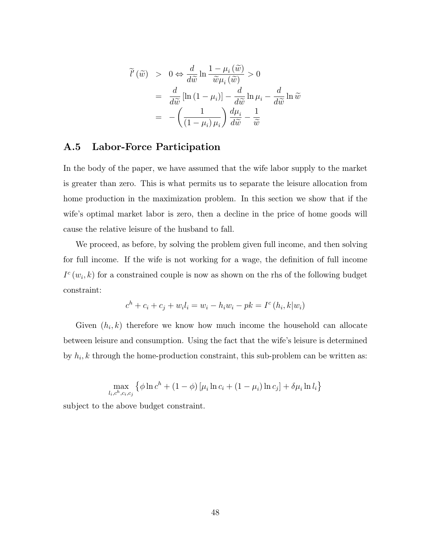$$
\widetilde{l}'(\widetilde{w}) > 0 \Leftrightarrow \frac{d}{d\widetilde{w}} \ln \frac{1 - \mu_i(\widetilde{w})}{\widetilde{w}\mu_i(\widetilde{w})} > 0
$$
\n
$$
= \frac{d}{d\widetilde{w}} [\ln (1 - \mu_i)] - \frac{d}{d\widetilde{w}} \ln \mu_i - \frac{d}{d\widetilde{w}} \ln \widetilde{w}
$$
\n
$$
= -\left(\frac{1}{(1 - \mu_i)\mu_i}\right) \frac{d\mu_i}{d\widetilde{w}} - \frac{1}{\widetilde{w}}
$$

#### A.5 Labor-Force Participation

In the body of the paper, we have assumed that the wife labor supply to the market is greater than zero. This is what permits us to separate the leisure allocation from home production in the maximization problem. In this section we show that if the wife's optimal market labor is zero, then a decline in the price of home goods will cause the relative leisure of the husband to fall.

We proceed, as before, by solving the problem given full income, and then solving for full income. If the wife is not working for a wage, the definition of full income  $I^c(w_i, k)$  for a constrained couple is now as shown on the rhs of the following budget constraint:

$$
c^{h} + c_{i} + c_{j} + w_{i}l_{i} = w_{i} - h_{i}w_{i} - pk = I^{c}(h_{i}, k|w_{i})
$$

Given  $(h_i, k)$  therefore we know how much income the household can allocate between leisure and consumption. Using the fact that the wife's leisure is determined by  $h_i, k$  through the home-production constraint, this sub-problem can be written as:

$$
\max_{l_i, c^h, c_i, c_j} \left\{ \phi \ln c^h + (1 - \phi) \left[ \mu_i \ln c_i + (1 - \mu_i) \ln c_j \right] + \delta \mu_i \ln l_i \right\}
$$

subject to the above budget constraint.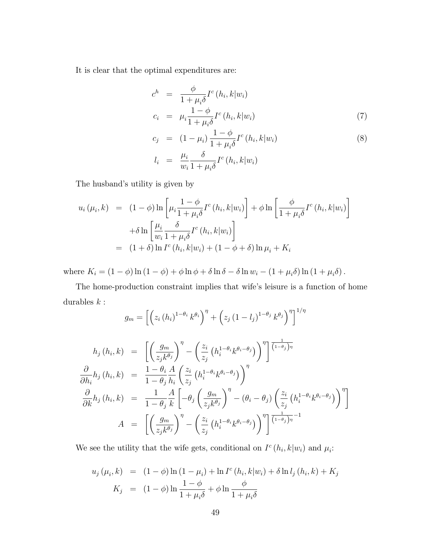It is clear that the optimal expenditures are:

$$
c^{h} = \frac{\phi}{1 + \mu_{i}\delta} I^{c} (h_{i}, k | w_{i})
$$
  
\n
$$
c_{i} = \mu_{i} \frac{1 - \phi}{1 + \mu_{i}\delta} I^{c} (h_{i}, k | w_{i})
$$
\n(7)

$$
c_j = (1 - \mu_i) \frac{1 - \phi}{1 + \mu_i \delta} I^c(h_i, k | w_i)
$$
  
\n
$$
l_i = \frac{\mu_i}{w_i} \frac{\delta}{1 + \mu_i \delta} I^c(h_i, k | w_i)
$$
\n
$$
(8)
$$

The husband's utility is given by

$$
u_i(\mu_i, k) = (1 - \phi) \ln \left[ \mu_i \frac{1 - \phi}{1 + \mu_i \delta} I^c(h_i, k | w_i) \right] + \phi \ln \left[ \frac{\phi}{1 + \mu_i \delta} I^c(h_i, k | w_i) \right]
$$

$$
+ \delta \ln \left[ \frac{\mu_i}{w_i} \frac{\delta}{1 + \mu_i \delta} I^c(h_i, k | w_i) \right]
$$

$$
= (1 + \delta) \ln I^c(h_i, k | w_i) + (1 - \phi + \delta) \ln \mu_i + K_i
$$

where  $K_i = (1 - \phi) \ln(1 - \phi) + \phi \ln \phi + \delta \ln \delta - \delta \ln w_i - (1 + \mu_i \delta) \ln(1 + \mu_i \delta)$ .

The home-production constraint implies that wife's leisure is a function of home durables  $\boldsymbol{k}$  :

$$
g_m = \left[ \left( z_i (h_i)^{1-\theta_i} k^{\theta_i} \right)^{\eta} + \left( z_j (1 - l_j)^{1-\theta_j} k^{\theta_j} \right)^{\eta} \right]^{1/\eta}
$$
  
\n
$$
h_j (h_i, k) = \left[ \left( \frac{g_m}{z_j k^{\theta_j}} \right)^{\eta} - \left( \frac{z_i}{z_j} \left( h_i^{1-\theta_i} k^{\theta_i - \theta_j} \right) \right)^{\eta} \right]^{1/\eta}
$$
  
\n
$$
\frac{\partial}{\partial h_i} h_j (h_i, k) = \frac{1 - \theta_i}{1 - \theta_j} \frac{A}{h_i} \left( \frac{z_i}{z_j} \left( h_i^{1-\theta_i} k^{\theta_i - \theta_j} \right) \right)^{\eta}
$$
  
\n
$$
\frac{\partial}{\partial k} h_j (h_i, k) = \frac{1}{1 - \theta_j} \frac{A}{k} \left[ -\theta_j \left( \frac{g_m}{z_j k^{\theta_j}} \right)^{\eta} - (\theta_i - \theta_j) \left( \frac{z_i}{z_j} \left( h_i^{1-\theta_i} k^{\theta_i - \theta_j} \right) \right)^{\eta} \right]
$$
  
\n
$$
A = \left[ \left( \frac{g_m}{z_j k^{\theta_j}} \right)^{\eta} - \left( \frac{z_i}{z_j} \left( h_i^{1-\theta_i} k^{\theta_i - \theta_j} \right) \right)^{\eta} \right] \frac{1}{(1 - \theta_j)^{\eta}}^{-1}
$$

We see the utility that the wife gets, conditional on  $I^c(h_i, k|w_i)$  and  $\mu_i$ :

$$
u_j(\mu_i, k) = (1 - \phi) \ln (1 - \mu_i) + \ln I^c(h_i, k|w_i) + \delta \ln l_j(h_i, k) + K_j
$$
  

$$
K_j = (1 - \phi) \ln \frac{1 - \phi}{1 + \mu_i \delta} + \phi \ln \frac{\phi}{1 + \mu_i \delta}
$$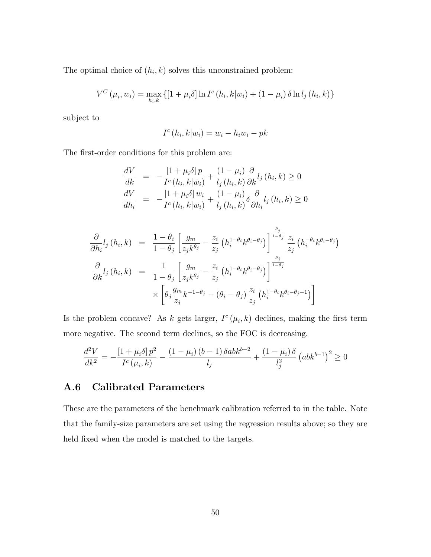The optimal choice of  $(h_i, k)$  solves this unconstrained problem:

$$
V^{C}(\mu_{i}, w_{i}) = \max_{h_{i}, k} \{ [1 + \mu_{i}\delta] \ln I^{c}(h_{i}, k|w_{i}) + (1 - \mu_{i}) \delta \ln l_{j}(h_{i}, k) \}
$$

subject to

$$
I^c(h_i, k|w_i) = w_i - h_i w_i - p k
$$

The first-order conditions for this problem are:

$$
\frac{dV}{dk} = -\frac{\left[1 + \mu_i \delta\right] p}{I^c \left(h_i, k | w_i\right)} + \frac{\left(1 - \mu_i\right)}{l_j \left(h_i, k\right)} \frac{\partial}{\partial k} l_j \left(h_i, k\right) \ge 0
$$
\n
$$
\frac{dV}{dh_i} = -\frac{\left[1 + \mu_i \delta\right] w_i}{I^c \left(h_i, k | w_i\right)} + \frac{\left(1 - \mu_i\right)}{l_j \left(h_i, k\right)} \delta \frac{\partial}{\partial h_i} l_j \left(h_i, k\right) \ge 0
$$

$$
\frac{\partial}{\partial h_i} l_j(h_i, k) = \frac{1 - \theta_i}{1 - \theta_j} \left[ \frac{g_m}{z_j k^{\theta_j}} - \frac{z_i}{z_j} \left( h_i^{1 - \theta_i} k^{\theta_i - \theta_j} \right) \right]^{\frac{\theta_j}{1 - \theta_j}} \frac{z_i}{z_j} \left( h_i^{-\theta_i} k^{\theta_i - \theta_j} \right)
$$
\n
$$
\frac{\partial}{\partial k} l_j(h_i, k) = \frac{1}{1 - \theta_j} \left[ \frac{g_m}{z_j k^{\theta_j}} - \frac{z_i}{z_j} \left( h_i^{1 - \theta_i} k^{\theta_i - \theta_j} \right) \right]^{\frac{\theta_j}{1 - \theta_j}} \times \left[ \theta_j \frac{g_m}{z_j} k^{-1 - \theta_j} - (\theta_i - \theta_j) \frac{z_i}{z_j} \left( h_i^{1 - \theta_i} k^{\theta_i - \theta_j - 1} \right) \right]
$$

Is the problem concave? As k gets larger,  $I^c(\mu_i, k)$  declines, making the first term more negative. The second term declines, so the FOC is decreasing.

$$
\frac{d^2V}{dk^2} = -\frac{\left[1 + \mu_i \delta\right]p^2}{I^c(\mu_i, k)} - \frac{\left(1 - \mu_i\right)\left(b - 1\right)\delta abk^{b-2}}{l_j} + \frac{\left(1 - \mu_i\right)\delta}{l_j^2} \left(abk^{b-1}\right)^2 \ge 0
$$

### A.6 Calibrated Parameters

These are the parameters of the benchmark calibration referred to in the table. Note that the family-size parameters are set using the regression results above; so they are held fixed when the model is matched to the targets.